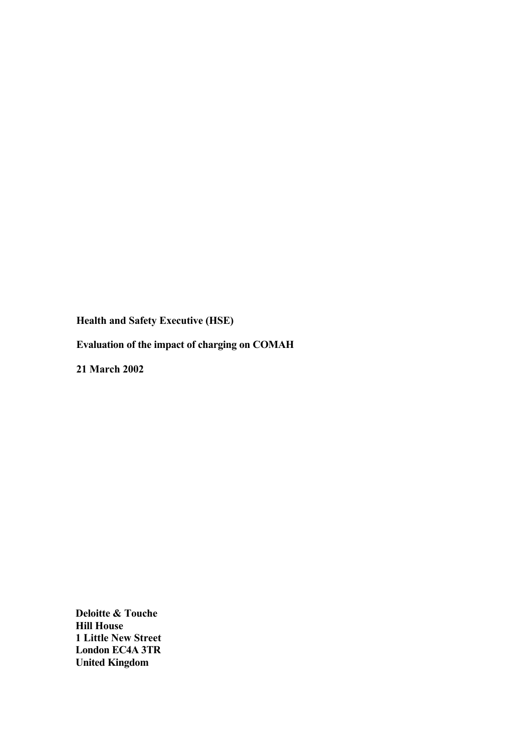**Health and Safety Executive (HSE)**

**Evaluation of the impact of charging on COMAH**

**21 March 2002**

**Deloitte & Touche Hill House 1 Little New Street London EC4A 3TR United Kingdom**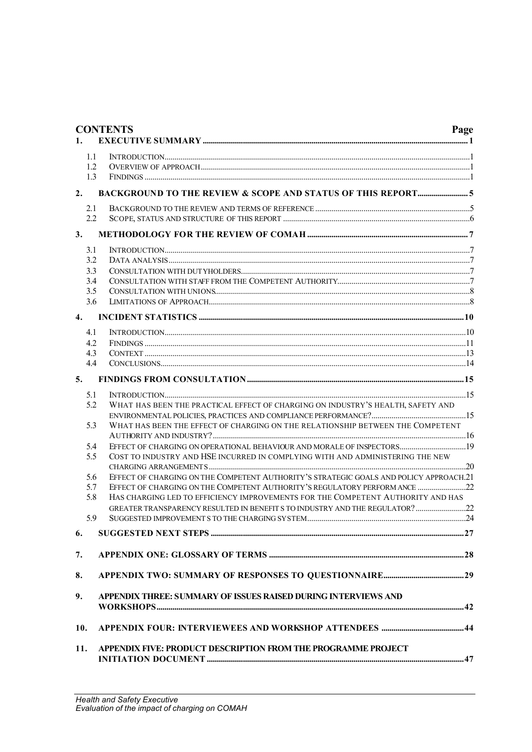| 1.         | <b>CONTENTS</b>                                                                                                                                               | Page |
|------------|---------------------------------------------------------------------------------------------------------------------------------------------------------------|------|
| 1.1        |                                                                                                                                                               |      |
| 1.2        |                                                                                                                                                               |      |
| 1.3        |                                                                                                                                                               |      |
| 2.         |                                                                                                                                                               |      |
| 2.1        |                                                                                                                                                               |      |
| 2.2        |                                                                                                                                                               |      |
| 3.         |                                                                                                                                                               |      |
| 3.1        |                                                                                                                                                               |      |
| 3.2<br>3.3 |                                                                                                                                                               |      |
| 3.4        |                                                                                                                                                               |      |
| 3.5        |                                                                                                                                                               |      |
| 3.6        |                                                                                                                                                               |      |
| 4.         |                                                                                                                                                               |      |
| 4.1        |                                                                                                                                                               |      |
| 4.2        |                                                                                                                                                               |      |
| 4.3<br>4.4 |                                                                                                                                                               |      |
| 5.         |                                                                                                                                                               |      |
|            |                                                                                                                                                               |      |
| 5.1<br>5.2 | WHAT HAS BEEN THE PRACTICAL EFFECT OF CHARGING ON INDUSTRY'S HEALTH, SAFETY AND                                                                               |      |
|            |                                                                                                                                                               |      |
| 5.3        | WHAT HAS BEEN THE EFFECT OF CHARGING ON THE RELATIONSHIP BETWEEN THE COMPETENT                                                                                |      |
| 5.4        | EFFECT OF CHARGING ON OPERATIONAL BEHAVIOUR AND MORALE OF INSPECTORS 19                                                                                       |      |
| 5.5        | COST TO INDUSTRY AND HSE INCURRED IN COMPLYING WITH AND ADMINISTERING THE NEW                                                                                 |      |
| 5.6        | EFFECT OF CHARGING ON THE COMPETENT AUTHORITY'S STRATEGIC GOALS AND POLICY APPROACH.21                                                                        |      |
| 5.7<br>5.8 | EFFECT OF CHARGING ON THE COMPETENT AUTHORITY'S REGULATORY PERFORM ANCE 22<br>HAS CHARGING LED TO EFFICIENCY IMPROVEMENTS FOR THE COMPETENT AUTHORITY AND HAS |      |
|            | GREATER TRANSPARENCY RESULTED IN BENEFIT S TO INDUSTRY AND THE REGULATOR?22                                                                                   |      |
| 5.9        |                                                                                                                                                               |      |
| 6.         |                                                                                                                                                               |      |
| 7.         |                                                                                                                                                               |      |
| 8.         |                                                                                                                                                               |      |
| 9.         | APPENDIX THREE: SUMMARY OF ISSUES RAISED DURING INTERVIEWS AND                                                                                                |      |
| 10.        |                                                                                                                                                               |      |
| 11.        | APPENDIX FIVE: PRODUCT DESCRIPTION FROM THE PROGRAMME PROJECT                                                                                                 |      |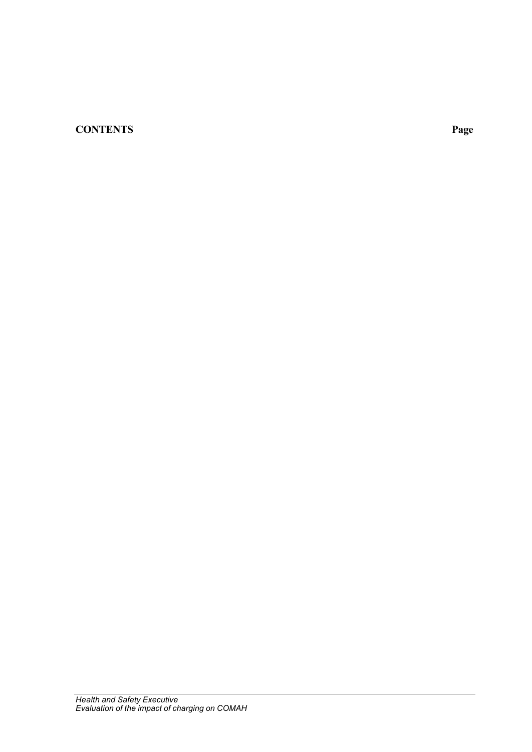# **CONTENTS Page**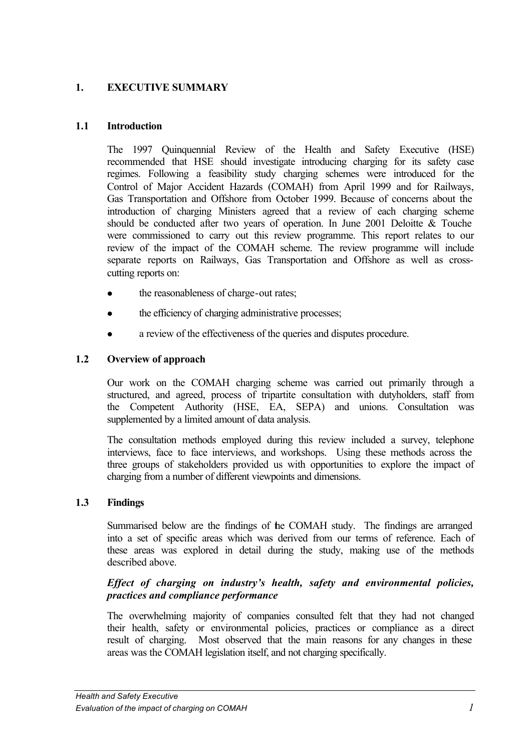# **1. EXECUTIVE SUMMARY**

# **1.1 Introduction**

The 1997 Quinquennial Review of the Health and Safety Executive (HSE) recommended that HSE should investigate introducing charging for its safety case regimes. Following a feasibility study charging schemes were introduced for the Control of Major Accident Hazards (COMAH) from April 1999 and for Railways, Gas Transportation and Offshore from October 1999. Because of concerns about the introduction of charging Ministers agreed that a review of each charging scheme should be conducted after two years of operation. In June 2001 Deloitte & Touche were commissioned to carry out this review programme. This report relates to our review of the impact of the COMAH scheme. The review programme will include separate reports on Railways, Gas Transportation and Offshore as well as crosscutting reports on:

- the reasonableness of charge-out rates;
- the efficiency of charging administrative processes;
- <sup>l</sup> a review of the effectiveness of the queries and disputes procedure.

# **1.2 Overview of approach**

Our work on the COMAH charging scheme was carried out primarily through a structured, and agreed, process of tripartite consultation with dutyholders, staff from the Competent Authority (HSE, EA, SEPA) and unions. Consultation was supplemented by a limited amount of data analysis.

The consultation methods employed during this review included a survey, telephone interviews, face to face interviews, and workshops. Using these methods across the three groups of stakeholders provided us with opportunities to explore the impact of charging from a number of different viewpoints and dimensions.

## **1.3 Findings**

Summarised below are the findings of the COMAH study. The findings are arranged into a set of specific areas which was derived from our terms of reference. Each of these areas was explored in detail during the study, making use of the methods described above.

## *Effect of charging on industry's health, safety and environmental policies, practices and compliance performance*

The overwhelming majority of companies consulted felt that they had not changed their health, safety or environmental policies, practices or compliance as a direct result of charging. Most observed that the main reasons for any changes in these areas was the COMAH legislation itself, and not charging specifically.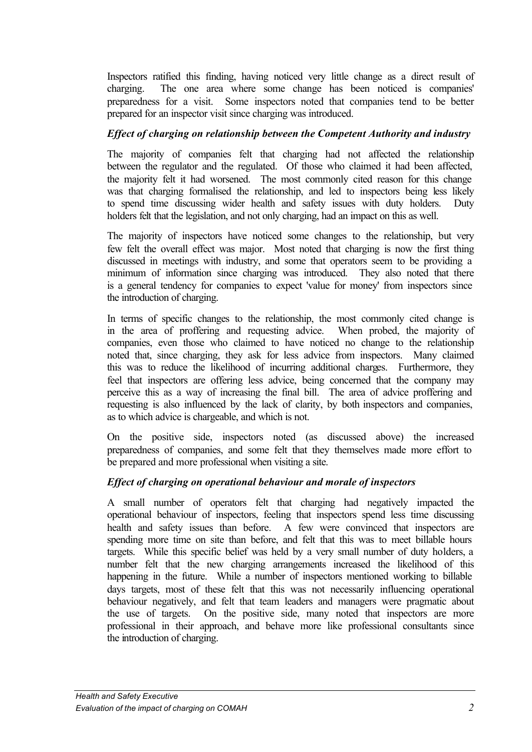Inspectors ratified this finding, having noticed very little change as a direct result of charging. The one area where some change has been noticed is companies' preparedness for a visit. Some inspectors noted that companies tend to be better prepared for an inspector visit since charging was introduced.

## *Effect of charging on relationship between the Competent Authority and industry*

The majority of companies felt that charging had not affected the relationship between the regulator and the regulated. Of those who claimed it had been affected, the majority felt it had worsened. The most commonly cited reason for this change was that charging formalised the relationship, and led to inspectors being less likely to spend time discussing wider health and safety issues with duty holders. Duty holders felt that the legislation, and not only charging, had an impact on this as well.

The majority of inspectors have noticed some changes to the relationship, but very few felt the overall effect was major. Most noted that charging is now the first thing discussed in meetings with industry, and some that operators seem to be providing a minimum of information since charging was introduced. They also noted that there is a general tendency for companies to expect 'value for money' from inspectors since the introduction of charging.

In terms of specific changes to the relationship, the most commonly cited change is in the area of proffering and requesting advice. When probed, the majority of companies, even those who claimed to have noticed no change to the relationship noted that, since charging, they ask for less advice from inspectors. Many claimed this was to reduce the likelihood of incurring additional charges. Furthermore, they feel that inspectors are offering less advice, being concerned that the company may perceive this as a way of increasing the final bill. The area of advice proffering and requesting is also influenced by the lack of clarity, by both inspectors and companies, as to which advice is chargeable, and which is not.

On the positive side, inspectors noted (as discussed above) the increased preparedness of companies, and some felt that they themselves made more effort to be prepared and more professional when visiting a site.

## *Effect of charging on operational behaviour and morale of inspectors*

A small number of operators felt that charging had negatively impacted the operational behaviour of inspectors, feeling that inspectors spend less time discussing health and safety issues than before. A few were convinced that inspectors are spending more time on site than before, and felt that this was to meet billable hours targets. While this specific belief was held by a very small number of duty holders, a number felt that the new charging arrangements increased the likelihood of this happening in the future. While a number of inspectors mentioned working to billable days targets, most of these felt that this was not necessarily influencing operational behaviour negatively, and felt that team leaders and managers were pragmatic about the use of targets. On the positive side, many noted that inspectors are more professional in their approach, and behave more like professional consultants since the introduction of charging.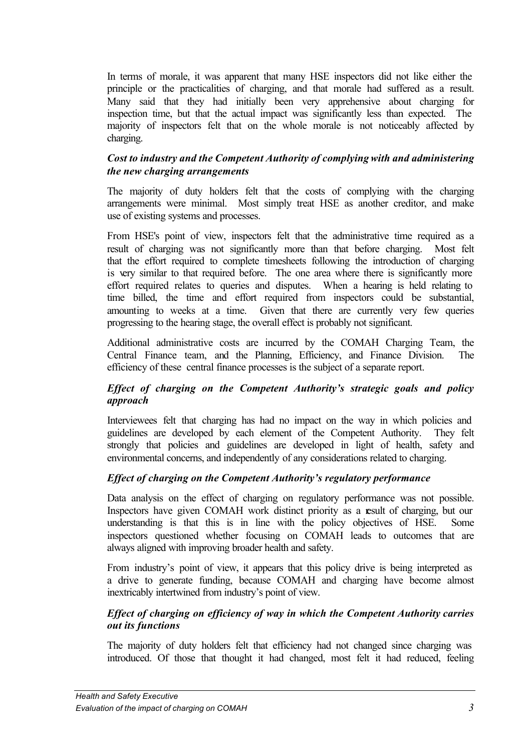In terms of morale, it was apparent that many HSE inspectors did not like either the principle or the practicalities of charging, and that morale had suffered as a result. Many said that they had initially been very apprehensive about charging for inspection time, but that the actual impact was significantly less than expected. The majority of inspectors felt that on the whole morale is not noticeably affected by charging.

# *Cost to industry and the Competent Authority of complying with and administering the new charging arrangements*

The majority of duty holders felt that the costs of complying with the charging arrangements were minimal. Most simply treat HSE as another creditor, and make use of existing systems and processes.

From HSE's point of view, inspectors felt that the administrative time required as a result of charging was not significantly more than that before charging. Most felt that the effort required to complete timesheets following the introduction of charging is very similar to that required before. The one area where there is significantly more effort required relates to queries and disputes. When a hearing is held relating to time billed, the time and effort required from inspectors could be substantial, amounting to weeks at a time. Given that there are currently very few queries progressing to the hearing stage, the overall effect is probably not significant.

Additional administrative costs are incurred by the COMAH Charging Team, the Central Finance team, and the Planning, Efficiency, and Finance Division. The efficiency of these central finance processes is the subject of a separate report.

## *Effect of charging on the Competent Authority's strategic goals and policy approach*

Interviewees felt that charging has had no impact on the way in which policies and guidelines are developed by each element of the Competent Authority. They felt strongly that policies and guidelines are developed in light of health, safety and environmental concerns, and independently of any considerations related to charging.

## *Effect of charging on the Competent Authority's regulatory performance*

Data analysis on the effect of charging on regulatory performance was not possible. Inspectors have given COMAH work distinct priority as a result of charging, but our understanding is that this is in line with the policy objectives of HSE. Some inspectors questioned whether focusing on COMAH leads to outcomes that are always aligned with improving broader health and safety.

From industry's point of view, it appears that this policy drive is being interpreted as a drive to generate funding, because COMAH and charging have become almost inextricably intertwined from industry's point of view.

## *Effect of charging on efficiency of way in which the Competent Authority carries out its functions*

The majority of duty holders felt that efficiency had not changed since charging was introduced. Of those that thought it had changed, most felt it had reduced, feeling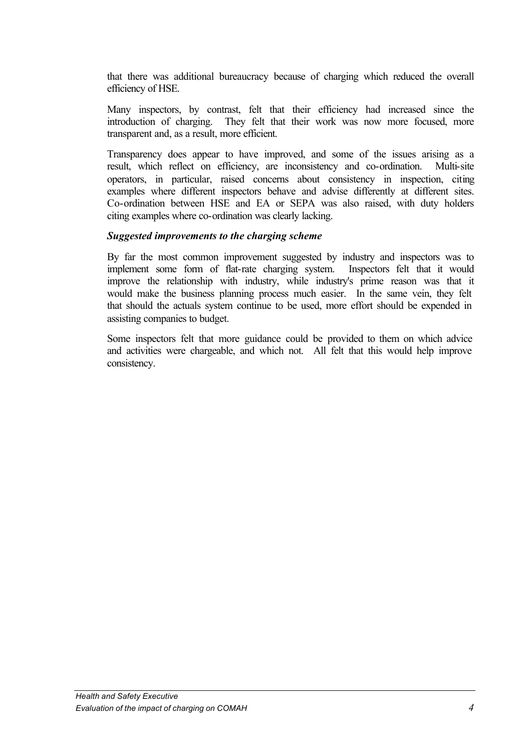that there was additional bureaucracy because of charging which reduced the overall efficiency of HSE.

Many inspectors, by contrast, felt that their efficiency had increased since the introduction of charging. They felt that their work was now more focused, more transparent and, as a result, more efficient.

Transparency does appear to have improved, and some of the issues arising as a result, which reflect on efficiency, are inconsistency and co-ordination. Multi-site operators, in particular, raised concerns about consistency in inspection, citing examples where different inspectors behave and advise differently at different sites. Co-ordination between HSE and EA or SEPA was also raised, with duty holders citing examples where co-ordination was clearly lacking.

## *Suggested improvements to the charging scheme*

By far the most common improvement suggested by industry and inspectors was to implement some form of flat-rate charging system. Inspectors felt that it would improve the relationship with industry, while industry's prime reason was that it would make the business planning process much easier. In the same vein, they felt that should the actuals system continue to be used, more effort should be expended in assisting companies to budget.

Some inspectors felt that more guidance could be provided to them on which advice and activities were chargeable, and which not. All felt that this would help improve consistency.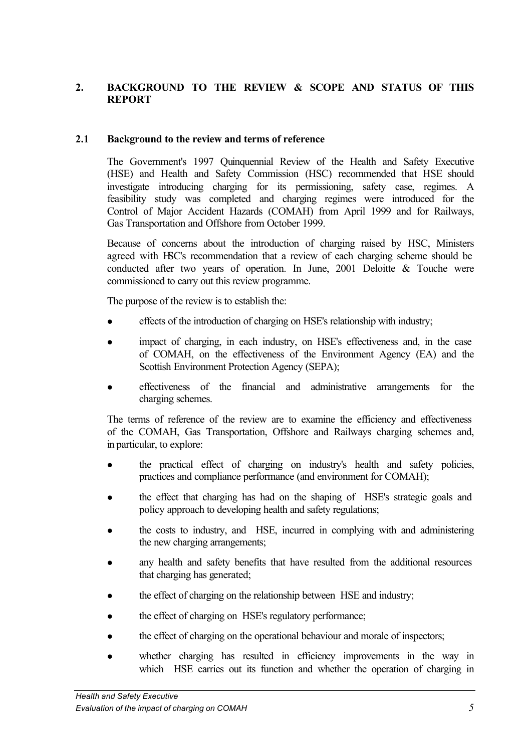# **2. BACKGROUND TO THE REVIEW & SCOPE AND STATUS OF THIS REPORT**

# **2.1 Background to the review and terms of reference**

The Government's 1997 Quinquennial Review of the Health and Safety Executive (HSE) and Health and Safety Commission (HSC) recommended that HSE should investigate introducing charging for its permissioning, safety case, regimes. A feasibility study was completed and charging regimes were introduced for the Control of Major Accident Hazards (COMAH) from April 1999 and for Railways, Gas Transportation and Offshore from October 1999.

Because of concerns about the introduction of charging raised by HSC, Ministers agreed with HSC's recommendation that a review of each charging scheme should be conducted after two years of operation. In June, 2001 Deloitte & Touche were commissioned to carry out this review programme.

The purpose of the review is to establish the:

- effects of the introduction of charging on HSE's relationship with industry;
- impact of charging, in each industry, on HSE's effectiveness and, in the case of COMAH, on the effectiveness of the Environment Agency (EA) and the Scottish Environment Protection Agency (SEPA);
- <sup>l</sup> effectiveness of the financial and administrative arrangements for the charging schemes.

The terms of reference of the review are to examine the efficiency and effectiveness of the COMAH, Gas Transportation, Offshore and Railways charging schemes and, in particular, to explore:

- the practical effect of charging on industry's health and safety policies, practices and compliance performance (and environment for COMAH);
- <sup>l</sup> the effect that charging has had on the shaping of HSE's strategic goals and policy approach to developing health and safety regulations;
- <sup>l</sup> the costs to industry, and HSE, incurred in complying with and administering the new charging arrangements;
- <sup>l</sup> any health and safety benefits that have resulted from the additional resources that charging has generated;
- the effect of charging on the relationship between HSE and industry;
- the effect of charging on HSE's regulatory performance;
- the effect of charging on the operational behaviour and morale of inspectors;
- whether charging has resulted in efficiency improvements in the way in which HSE carries out its function and whether the operation of charging in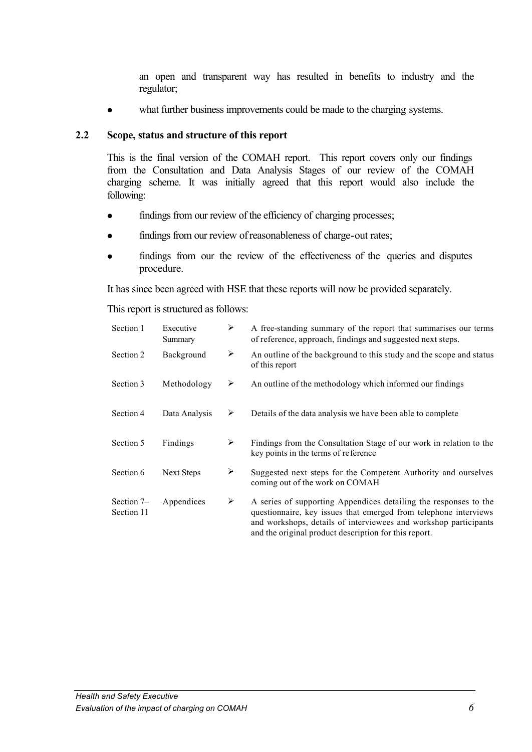an open and transparent way has resulted in benefits to industry and the regulator;

• what further business improvements could be made to the charging systems.

## **2.2 Scope, status and structure of this report**

This is the final version of the COMAH report. This report covers only our findings from the Consultation and Data Analysis Stages of our review of the COMAH charging scheme. It was initially agreed that this report would also include the following:

- findings from our review of the efficiency of charging processes;
- findings from our review of reasonableness of charge-out rates;
- findings from our the review of the effectiveness of the queries and disputes procedure.

It has since been agreed with HSE that these reports will now be provided separately.

This report is structured as follows:

| Section 1                | Executive<br>Summary | ➤ | A free-standing summary of the report that summarises our terms<br>of reference, approach, findings and suggested next steps.                                                                                                                                     |
|--------------------------|----------------------|---|-------------------------------------------------------------------------------------------------------------------------------------------------------------------------------------------------------------------------------------------------------------------|
| Section 2                | Background           | ➤ | An outline of the background to this study and the scope and status<br>of this report                                                                                                                                                                             |
| Section 3                | Methodology          | ➤ | An outline of the methodology which informed our findings                                                                                                                                                                                                         |
| Section 4                | Data Analysis        | ➤ | Details of the data analysis we have been able to complete                                                                                                                                                                                                        |
| Section 5                | Findings             | ➤ | Findings from the Consultation Stage of our work in relation to the<br>key points in the terms of reference                                                                                                                                                       |
| Section 6                | Next Steps           | ➤ | Suggested next steps for the Competent Authority and ourselves<br>coming out of the work on COMAH                                                                                                                                                                 |
| Section 7–<br>Section 11 | Appendices           | ➤ | A series of supporting Appendices detailing the responses to the<br>questionnaire, key issues that emerged from telephone interviews<br>and workshops, details of interviewees and workshop participants<br>and the original product description for this report. |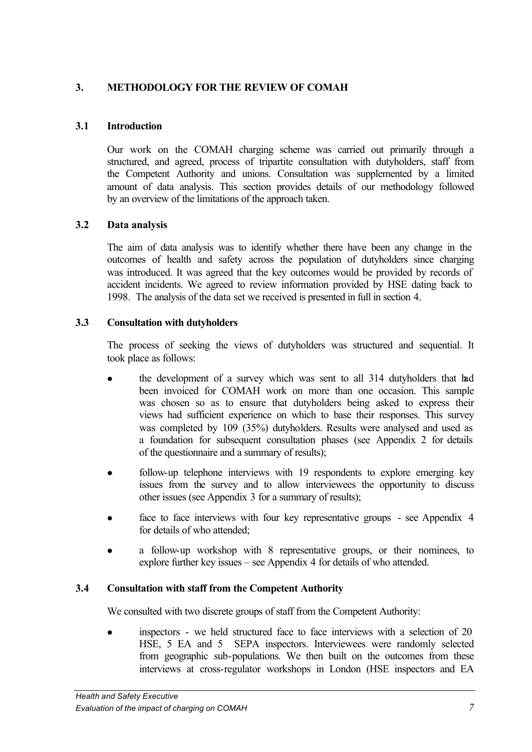# **3. METHODOLOGY FOR THE REVIEW OF COMAH**

## **3.1 Introduction**

Our work on the COMAH charging scheme was carried out primarily through a structured, and agreed, process of tripartite consultation with dutyholders, staff from the Competent Authority and unions. Consultation was supplemented by a limited amount of data analysis. This section provides details of our methodology followed by an overview of the limitations of the approach taken.

## **3.2 Data analysis**

The aim of data analysis was to identify whether there have been any change in the outcomes of health and safety across the population of dutyholders since charging was introduced. It was agreed that the key outcomes would be provided by records of accident incidents. We agreed to review information provided by HSE dating back to 1998. The analysis of the data set we received is presented in full in section 4.

## **3.3 Consultation with dutyholders**

The process of seeking the views of dutyholders was structured and sequential. It took place as follows:

- the development of a survey which was sent to all 314 dutyholders that had been invoiced for COMAH work on more than one occasion. This sample was chosen so as to ensure that dutyholders being asked to express their views had sufficient experience on which to base their responses. This survey was completed by 109 (35%) dutyholders. Results were analysed and used as a foundation for subsequent consultation phases (see Appendix 2 for details of the questionnaire and a summary of results);
- follow-up telephone interviews with 19 respondents to explore emerging key issues from the survey and to allow interviewees the opportunity to discuss other issues (see Appendix 3 for a summary of results);
- face to face interviews with four key representative groups see Appendix 4 for details of who attended;
- a follow-up workshop with 8 representative groups, or their nominees, to explore further key issues – see Appendix 4 for details of who attended.

## **3.4 Consultation with staff from the Competent Authority**

We consulted with two discrete groups of staff from the Competent Authority:

inspectors - we held structured face to face interviews with a selection of 20 HSE, 5 EA and 5 SEPA inspectors. Interviewees were randomly selected from geographic sub-populations. We then built on the outcomes from these interviews at cross-regulator workshops in London (HSE inspectors and EA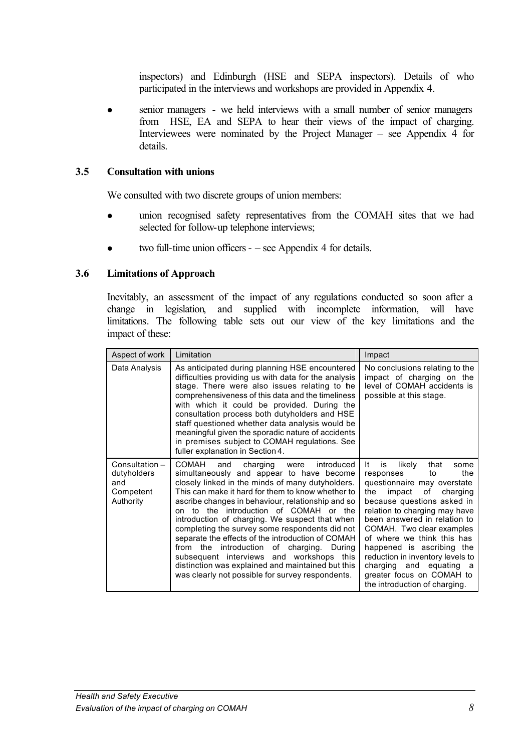inspectors) and Edinburgh (HSE and SEPA inspectors). Details of who participated in the interviews and workshops are provided in Appendix 4.

senior managers - we held interviews with a small number of senior managers from HSE, EA and SEPA to hear their views of the impact of charging. Interviewees were nominated by the Project Manager – see Appendix 4 for details.

## **3.5 Consultation with unions**

We consulted with two discrete groups of union members:

- union recognised safety representatives from the COMAH sites that we had selected for follow-up telephone interviews;
- $\bullet$  two full-time union officers – see Appendix 4 for details.

#### **3.6 Limitations of Approach**

Inevitably, an assessment of the impact of any regulations conducted so soon after a change in legislation, and supplied with incomplete information, will have limitations. The following table sets out our view of the key limitations and the impact of these:

| Aspect of work                                                 | Limitation                                                                                                                                                                                                                                                                                                                                                                                                                                                                                                                                                                                                                                                               | Impact                                                                                                                                                                                                                                                                                                                                                                                                                                             |
|----------------------------------------------------------------|--------------------------------------------------------------------------------------------------------------------------------------------------------------------------------------------------------------------------------------------------------------------------------------------------------------------------------------------------------------------------------------------------------------------------------------------------------------------------------------------------------------------------------------------------------------------------------------------------------------------------------------------------------------------------|----------------------------------------------------------------------------------------------------------------------------------------------------------------------------------------------------------------------------------------------------------------------------------------------------------------------------------------------------------------------------------------------------------------------------------------------------|
| Data Analysis                                                  | As anticipated during planning HSE encountered<br>difficulties providing us with data for the analysis<br>stage. There were also issues relating to he<br>comprehensiveness of this data and the timeliness<br>with which it could be provided. During the<br>consultation process both dutyholders and HSE<br>staff questioned whether data analysis would be<br>meaningful given the sporadic nature of accidents<br>in premises subject to COMAH regulations. See<br>fuller explanation in Section 4.                                                                                                                                                                 | No conclusions relating to the<br>impact of charging on the<br>level of COMAH accidents is<br>possible at this stage.                                                                                                                                                                                                                                                                                                                              |
| Consultation -<br>dutyholders<br>and<br>Competent<br>Authority | introduced<br><b>COMAH</b><br>charging<br>and<br>were<br>simultaneously and appear to have become<br>closely linked in the minds of many dutyholders.<br>This can make it hard for them to know whether to<br>ascribe changes in behaviour, relationship and so<br>to the introduction of COMAH or the<br>nn.<br>introduction of charging. We suspect that when<br>completing the survey some respondents did not<br>separate the effects of the introduction of COMAH<br>from the introduction of charging. During<br>subsequent interviews and workshops this<br>distinction was explained and maintained but this<br>was clearly not possible for survey respondents. | It<br>likely<br>is<br>that<br>some<br>the<br>responses<br>to<br>questionnaire may overstate<br>of<br>impact<br>the<br>charging<br>because questions asked in<br>relation to charging may have<br>been answered in relation to<br>COMAH. Two clear examples<br>of where we think this has<br>happened is ascribing the<br>reduction in inventory levels to<br>charging and equating a<br>greater focus on COMAH to<br>the introduction of charging. |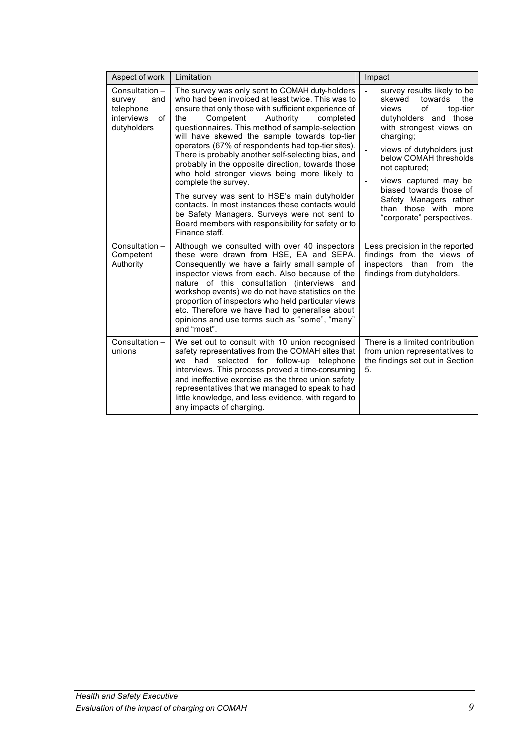| Aspect of work                                                                 | Limitation                                                                                                                                                                                                                                                                                                                                                                                                                                                                                                                                                                                                                                                                                                                                                                        | Impact                                                                                                                                                                                                                                                                                                                                                                           |
|--------------------------------------------------------------------------------|-----------------------------------------------------------------------------------------------------------------------------------------------------------------------------------------------------------------------------------------------------------------------------------------------------------------------------------------------------------------------------------------------------------------------------------------------------------------------------------------------------------------------------------------------------------------------------------------------------------------------------------------------------------------------------------------------------------------------------------------------------------------------------------|----------------------------------------------------------------------------------------------------------------------------------------------------------------------------------------------------------------------------------------------------------------------------------------------------------------------------------------------------------------------------------|
| Consultation-<br>survey<br>and<br>telephone<br>interviews<br>of<br>dutyholders | The survey was only sent to COMAH duty-holders<br>who had been invoiced at least twice. This was to<br>ensure that only those with sufficient experience of<br>Competent<br>Authority<br>the<br>completed<br>questionnaires. This method of sample-selection<br>will have skewed the sample towards top-tier<br>operators (67% of respondents had top-tier sites).<br>There is probably another self-selecting bias, and<br>probably in the opposite direction, towards those<br>who hold stronger views being more likely to<br>complete the survey.<br>The survey was sent to HSE's main dutyholder<br>contacts. In most instances these contacts would<br>be Safety Managers. Surveys were not sent to<br>Board members with responsibility for safety or to<br>Finance staff. | survey results likely to be<br>$\overline{a}$<br>skewed<br>towards<br>the<br>top-tier<br>of<br>views<br>dutyholders and those<br>with strongest views on<br>charging;<br>views of dutyholders just<br>below COMAH thresholds<br>not captured;<br>views captured may be<br>biased towards those of<br>Safety Managers rather<br>than those with more<br>"corporate" perspectives. |
| Consultation -<br>Competent<br>Authority                                       | Although we consulted with over 40 inspectors<br>these were drawn from HSE, EA and SEPA.<br>Consequently we have a fairly small sample of<br>inspector views from each. Also because of the<br>nature of this consultation (interviews and<br>workshop events) we do not have statistics on the<br>proportion of inspectors who held particular views<br>etc. Therefore we have had to generalise about<br>opinions and use terms such as "some", "many"<br>and "most".                                                                                                                                                                                                                                                                                                           | Less precision in the reported<br>findings from the views of<br>inspectors than from the<br>findings from dutyholders.                                                                                                                                                                                                                                                           |
| Consultation -<br>unions                                                       | We set out to consult with 10 union recognised<br>safety representatives from the COMAH sites that<br>selected for follow-up telephone<br>had<br>we<br>interviews. This process proved a time-consuming<br>and ineffective exercise as the three union safety<br>representatives that we managed to speak to had<br>little knowledge, and less evidence, with regard to<br>any impacts of charging.                                                                                                                                                                                                                                                                                                                                                                               | There is a limited contribution<br>from union representatives to<br>the findings set out in Section<br>5.                                                                                                                                                                                                                                                                        |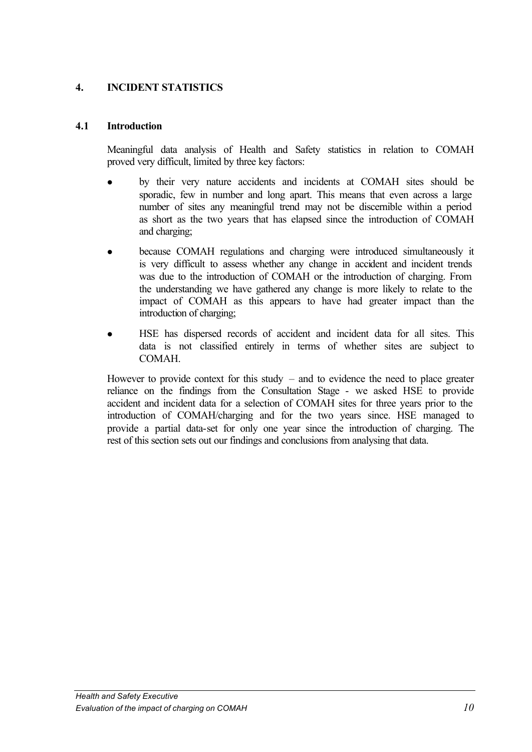# **4. INCIDENT STATISTICS**

## **4.1 Introduction**

Meaningful data analysis of Health and Safety statistics in relation to COMAH proved very difficult, limited by three key factors:

- <sup>l</sup> by their very nature accidents and incidents at COMAH sites should be sporadic, few in number and long apart. This means that even across a large number of sites any meaningful trend may not be discernible within a period as short as the two years that has elapsed since the introduction of COMAH and charging;
- <sup>l</sup> because COMAH regulations and charging were introduced simultaneously it is very difficult to assess whether any change in accident and incident trends was due to the introduction of COMAH or the introduction of charging. From the understanding we have gathered any change is more likely to relate to the impact of COMAH as this appears to have had greater impact than the introduction of charging;
- <sup>l</sup> HSE has dispersed records of accident and incident data for all sites. This data is not classified entirely in terms of whether sites are subject to COMAH.

However to provide context for this study  $-$  and to evidence the need to place greater reliance on the findings from the Consultation Stage - we asked HSE to provide accident and incident data for a selection of COMAH sites for three years prior to the introduction of COMAH/charging and for the two years since. HSE managed to provide a partial data-set for only one year since the introduction of charging. The rest of this section sets out our findings and conclusions from analysing that data.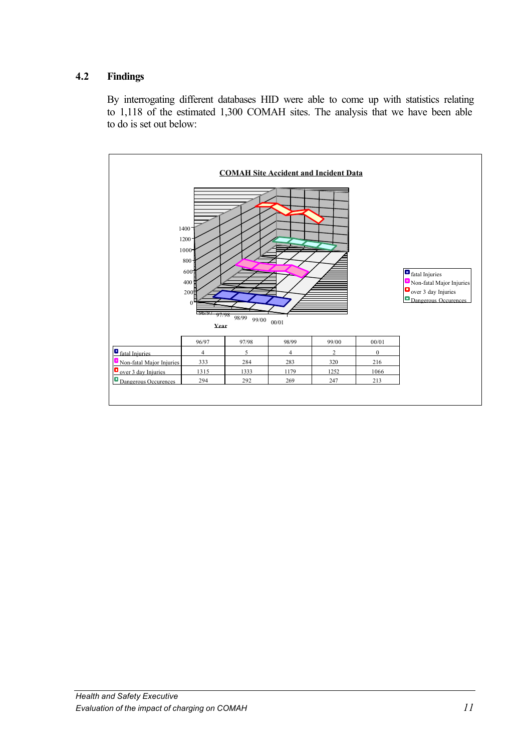# **4.2 Findings**

By interrogating different databases HID were able to come up with statistics relating to 1,118 of the estimated 1,300 COMAH sites. The analysis that we have been able to do is set out below:

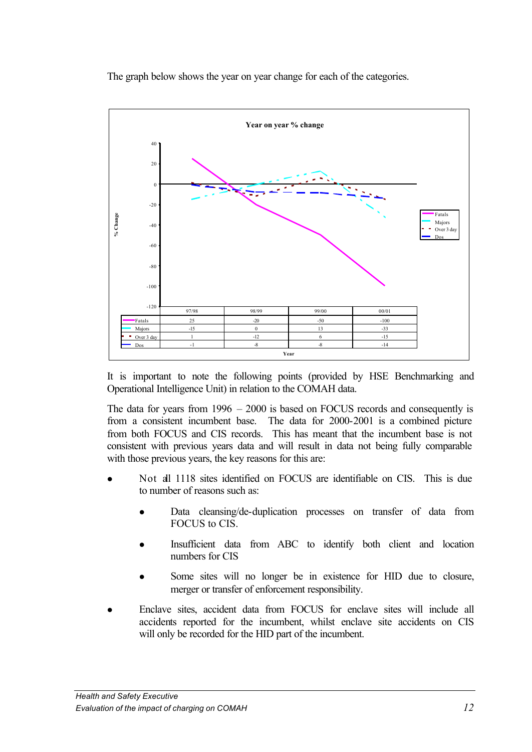The graph below shows the year on year change for each of the categories.



It is important to note the following points (provided by HSE Benchmarking and Operational Intelligence Unit) in relation to the COMAH data.

The data for years from 1996 – 2000 is based on FOCUS records and consequently is from a consistent incumbent base. The data for 2000-2001 is a combined picture from both FOCUS and CIS records. This has meant that the incumbent base is not consistent with previous years data and will result in data not being fully comparable with those previous years, the key reasons for this are:

- <sup>l</sup> Not all 1118 sites identified on FOCUS are identifiable on CIS. This is due to number of reasons such as:
	- Data cleansing/de-duplication processes on transfer of data from FOCUS to CIS.
	- <sup>l</sup> Insufficient data from ABC to identify both client and location numbers for CIS
	- Some sites will no longer be in existence for HID due to closure, merger or transfer of enforcement responsibility.
- <sup>l</sup> Enclave sites, accident data from FOCUS for enclave sites will include all accidents reported for the incumbent, whilst enclave site accidents on CIS will only be recorded for the HID part of the incumbent.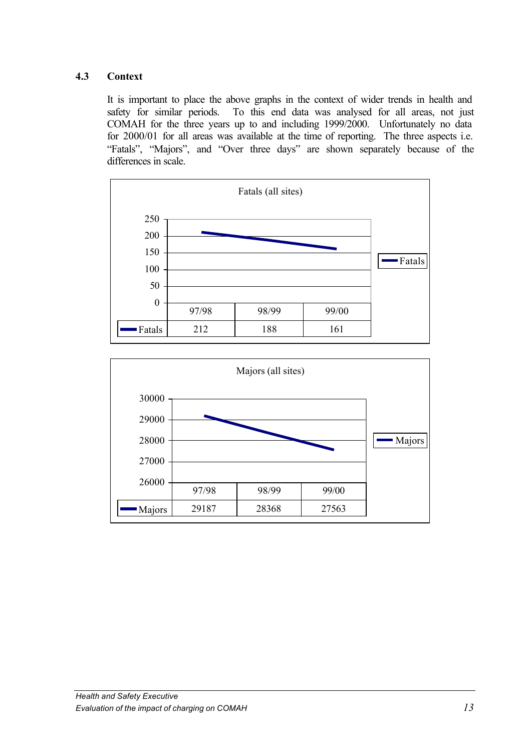# **4.3 Context**

It is important to place the above graphs in the context of wider trends in health and safety for similar periods. To this end data was analysed for all areas, not just COMAH for the three years up to and including 1999/2000. Unfortunately no data for 2000/01 for all areas was available at the time of reporting. The three aspects i.e. "Fatals", "Majors", and "Over three days" are shown separately because of the differences in scale.



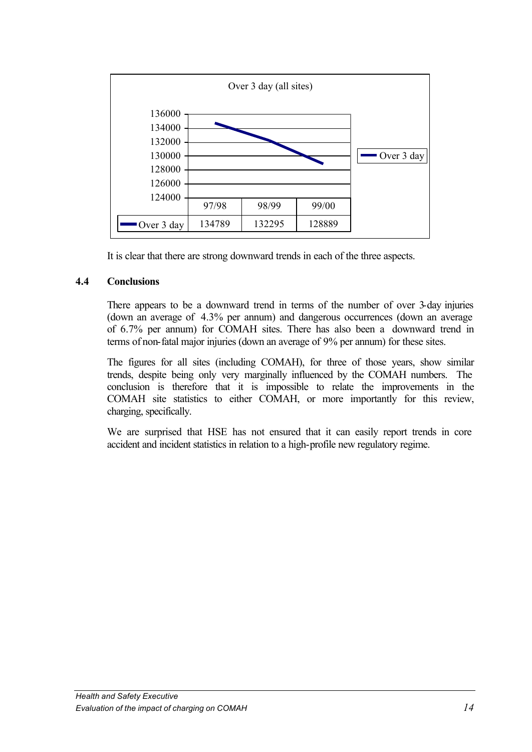

It is clear that there are strong downward trends in each of the three aspects.

## **4.4 Conclusions**

There appears to be a downward trend in terms of the number of over 3-day injuries (down an average of 4.3% per annum) and dangerous occurrences (down an average of 6.7% per annum) for COMAH sites. There has also been a downward trend in terms of non-fatal major injuries (down an average of 9% per annum) for these sites.

The figures for all sites (including COMAH), for three of those years, show similar trends, despite being only very marginally influenced by the COMAH numbers. The conclusion is therefore that it is impossible to relate the improvements in the COMAH site statistics to either COMAH, or more importantly for this review, charging, specifically.

We are surprised that HSE has not ensured that it can easily report trends in core accident and incident statistics in relation to a high-profile new regulatory regime.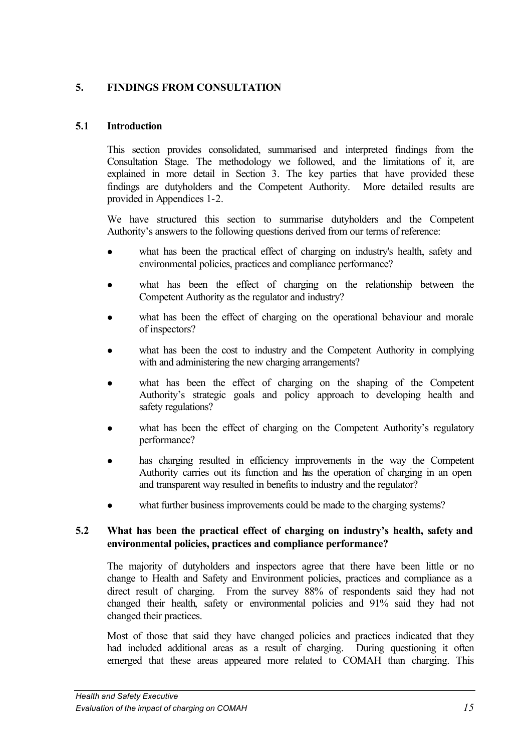# **5. FINDINGS FROM CONSULTATION**

# **5.1 Introduction**

This section provides consolidated, summarised and interpreted findings from the Consultation Stage. The methodology we followed, and the limitations of it, are explained in more detail in Section 3. The key parties that have provided these findings are dutyholders and the Competent Authority. More detailed results are provided in Appendices 1-2.

We have structured this section to summarise dutyholders and the Competent Authority's answers to the following questions derived from our terms of reference:

- what has been the practical effect of charging on industry's health, safety and environmental policies, practices and compliance performance?
- what has been the effect of charging on the relationship between the Competent Authority as the regulator and industry?
- what has been the effect of charging on the operational behaviour and morale of inspectors?
- what has been the cost to industry and the Competent Authority in complying with and administering the new charging arrangements?
- what has been the effect of charging on the shaping of the Competent Authority's strategic goals and policy approach to developing health and safety regulations?
- what has been the effect of charging on the Competent Authority's regulatory performance?
- has charging resulted in efficiency improvements in the way the Competent Authority carries out its function and has the operation of charging in an open and transparent way resulted in benefits to industry and the regulator?
- what further business improvements could be made to the charging systems?

## **5.2 What has been the practical effect of charging on industry's health, safety and environmental policies, practices and compliance performance?**

The majority of dutyholders and inspectors agree that there have been little or no change to Health and Safety and Environment policies, practices and compliance as a direct result of charging. From the survey 88% of respondents said they had not changed their health, safety or environmental policies and 91% said they had not changed their practices.

Most of those that said they have changed policies and practices indicated that they had included additional areas as a result of charging. During questioning it often emerged that these areas appeared more related to COMAH than charging. This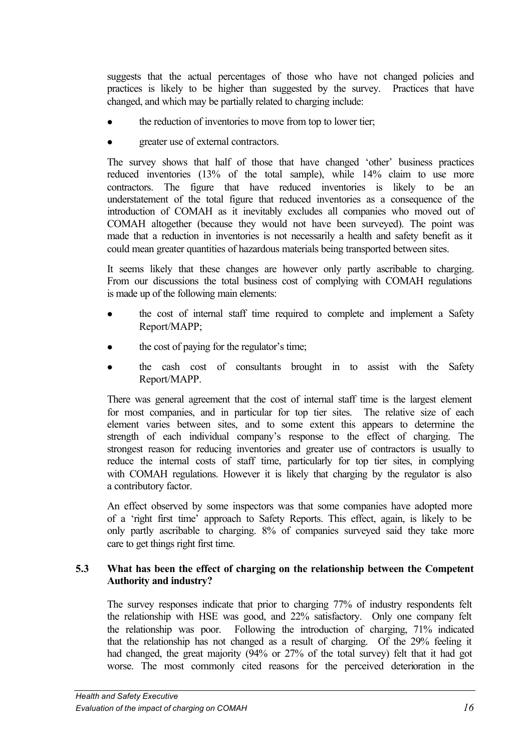suggests that the actual percentages of those who have not changed policies and practices is likely to be higher than suggested by the survey. Practices that have changed, and which may be partially related to charging include:

- the reduction of inventories to move from top to lower tier;
- <sup>l</sup> greater use of external contractors.

The survey shows that half of those that have changed 'other' business practices reduced inventories (13% of the total sample), while 14% claim to use more contractors. The figure that have reduced inventories is likely to be an understatement of the total figure that reduced inventories as a consequence of the introduction of COMAH as it inevitably excludes all companies who moved out of COMAH altogether (because they would not have been surveyed). The point was made that a reduction in inventories is not necessarily a health and safety benefit as it could mean greater quantities of hazardous materials being transported between sites.

It seems likely that these changes are however only partly ascribable to charging. From our discussions the total business cost of complying with COMAH regulations is made up of the following main elements:

- the cost of internal staff time required to complete and implement a Safety Report/MAPP;
- the cost of paying for the regulator's time;
- <sup>l</sup> the cash cost of consultants brought in to assist with the Safety Report/MAPP.

There was general agreement that the cost of internal staff time is the largest element for most companies, and in particular for top tier sites. The relative size of each element varies between sites, and to some extent this appears to determine the strength of each individual company's response to the effect of charging. The strongest reason for reducing inventories and greater use of contractors is usually to reduce the internal costs of staff time, particularly for top tier sites, in complying with COMAH regulations. However it is likely that charging by the regulator is also a contributory factor.

An effect observed by some inspectors was that some companies have adopted more of a 'right first time' approach to Safety Reports. This effect, again, is likely to be only partly ascribable to charging. 8% of companies surveyed said they take more care to get things right first time.

## **5.3 What has been the effect of charging on the relationship between the Competent Authority and industry?**

The survey responses indicate that prior to charging 77% of industry respondents felt the relationship with HSE was good, and 22% satisfactory. Only one company felt the relationship was poor. Following the introduction of charging, 71% indicated that the relationship has not changed as a result of charging. Of the 29% feeling it had changed, the great majority (94% or 27% of the total survey) felt that it had got worse. The most commonly cited reasons for the perceived deterioration in the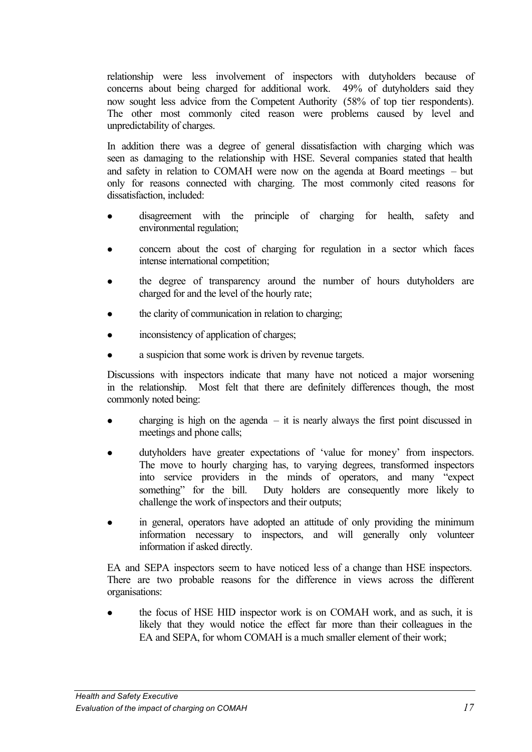relationship were less involvement of inspectors with dutyholders because of concerns about being charged for additional work. 49% of dutyholders said they now sought less advice from the Competent Authority (58% of top tier respondents). The other most commonly cited reason were problems caused by level and unpredictability of charges.

In addition there was a degree of general dissatisfaction with charging which was seen as damaging to the relationship with HSE. Several companies stated that health and safety in relation to COMAH were now on the agenda at Board meetings – but only for reasons connected with charging. The most commonly cited reasons for dissatisfaction, included:

- disagreement with the principle of charging for health, safety and environmental regulation;
- <sup>l</sup> concern about the cost of charging for regulation in a sector which faces intense international competition;
- <sup>l</sup> the degree of transparency around the number of hours dutyholders are charged for and the level of the hourly rate;
- the clarity of communication in relation to charging;
- inconsistency of application of charges;
- a suspicion that some work is driven by revenue targets.

Discussions with inspectors indicate that many have not noticed a major worsening in the relationship. Most felt that there are definitely differences though, the most commonly noted being:

- $\bullet$  charging is high on the agenda it is nearly always the first point discussed in meetings and phone calls;
- dutyholders have greater expectations of 'value for money' from inspectors. The move to hourly charging has, to varying degrees, transformed inspectors into service providers in the minds of operators, and many "expect something" for the bill. Duty holders are consequently more likely to challenge the work of inspectors and their outputs;
- in general, operators have adopted an attitude of only providing the minimum information necessary to inspectors, and will generally only volunteer information if asked directly.

EA and SEPA inspectors seem to have noticed less of a change than HSE inspectors. There are two probable reasons for the difference in views across the different organisations:

<sup>l</sup> the focus of HSE HID inspector work is on COMAH work, and as such, it is likely that they would notice the effect far more than their colleagues in the EA and SEPA, for whom COMAH is a much smaller element of their work;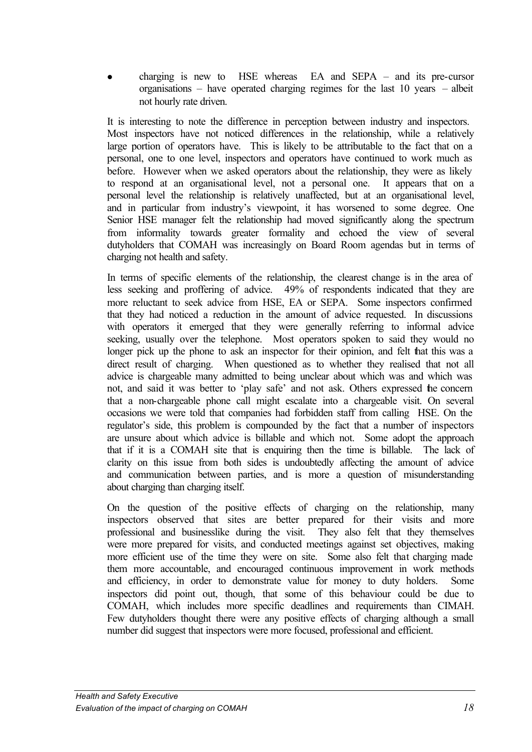<sup>l</sup> charging is new to HSE whereas EA and SEPA – and its pre-cursor organisations – have operated charging regimes for the last 10 years – albeit not hourly rate driven.

It is interesting to note the difference in perception between industry and inspectors. Most inspectors have not noticed differences in the relationship, while a relatively large portion of operators have. This is likely to be attributable to the fact that on a personal, one to one level, inspectors and operators have continued to work much as before. However when we asked operators about the relationship, they were as likely to respond at an organisational level, not a personal one. It appears that on a personal level the relationship is relatively unaffected, but at an organisational level, and in particular from industry's viewpoint, it has worsened to some degree. One Senior HSE manager felt the relationship had moved significantly along the spectrum from informality towards greater formality and echoed the view of several dutyholders that COMAH was increasingly on Board Room agendas but in terms of charging not health and safety.

In terms of specific elements of the relationship, the clearest change is in the area of less seeking and proffering of advice. 49% of respondents indicated that they are more reluctant to seek advice from HSE, EA or SEPA. Some inspectors confirmed that they had noticed a reduction in the amount of advice requested. In discussions with operators it emerged that they were generally referring to informal advice seeking, usually over the telephone. Most operators spoken to said they would no longer pick up the phone to ask an inspector for their opinion, and felt that this was a direct result of charging. When questioned as to whether they realised that not all advice is chargeable many admitted to being unclear about which was and which was not, and said it was better to 'play safe' and not ask. Others expressed the concern that a non-chargeable phone call might escalate into a chargeable visit. On several occasions we were told that companies had forbidden staff from calling HSE. On the regulator's side, this problem is compounded by the fact that a number of inspectors are unsure about which advice is billable and which not. Some adopt the approach that if it is a COMAH site that is enquiring then the time is billable. The lack of clarity on this issue from both sides is undoubtedly affecting the amount of advice and communication between parties, and is more a question of misunderstanding about charging than charging itself.

On the question of the positive effects of charging on the relationship, many inspectors observed that sites are better prepared for their visits and more professional and businesslike during the visit. They also felt that they themselves were more prepared for visits, and conducted meetings against set objectives, making more efficient use of the time they were on site. Some also felt that charging made them more accountable, and encouraged continuous improvement in work methods and efficiency, in order to demonstrate value for money to duty holders. Some inspectors did point out, though, that some of this behaviour could be due to COMAH, which includes more specific deadlines and requirements than CIMAH. Few dutyholders thought there were any positive effects of charging although a small number did suggest that inspectors were more focused, professional and efficient.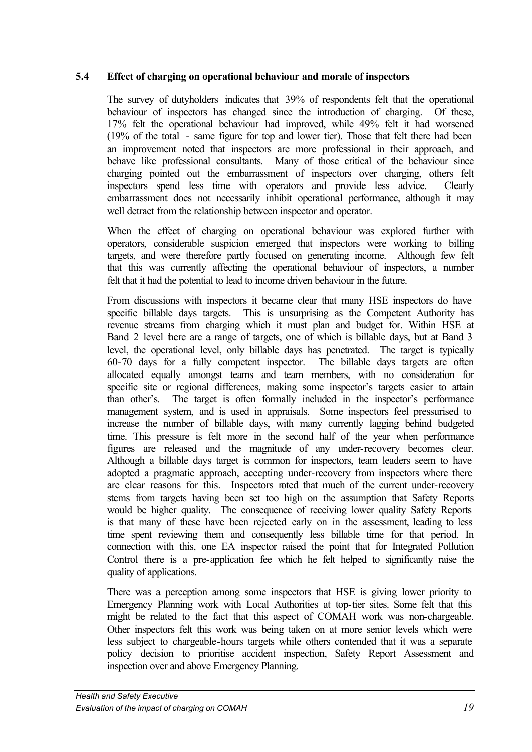## **5.4 Effect of charging on operational behaviour and morale of inspectors**

The survey of dutyholders indicates that 39% of respondents felt that the operational behaviour of inspectors has changed since the introduction of charging. Of these, 17% felt the operational behaviour had improved, while 49% felt it had worsened (19% of the total - same figure for top and lower tier). Those that felt there had been an improvement noted that inspectors are more professional in their approach, and behave like professional consultants. Many of those critical of the behaviour since charging pointed out the embarrassment of inspectors over charging, others felt inspectors spend less time with operators and provide less advice. Clearly embarrassment does not necessarily inhibit operational performance, although it may well detract from the relationship between inspector and operator.

When the effect of charging on operational behaviour was explored further with operators, considerable suspicion emerged that inspectors were working to billing targets, and were therefore partly focused on generating income. Although few felt that this was currently affecting the operational behaviour of inspectors, a number felt that it had the potential to lead to income driven behaviour in the future.

From discussions with inspectors it became clear that many HSE inspectors do have specific billable days targets. This is unsurprising as the Competent Authority has revenue streams from charging which it must plan and budget for. Within HSE at Band 2 level there are a range of targets, one of which is billable days, but at Band 3 level, the operational level, only billable days has penetrated. The target is typically 60-70 days for a fully competent inspector. The billable days targets are often allocated equally amongst teams and team members, with no consideration for specific site or regional differences, making some inspector's targets easier to attain than other's. The target is often formally included in the inspector's performance management system, and is used in appraisals. Some inspectors feel pressurised to increase the number of billable days, with many currently lagging behind budgeted time. This pressure is felt more in the second half of the year when performance figures are released and the magnitude of any under-recovery becomes clear. Although a billable days target is common for inspectors, team leaders seem to have adopted a pragmatic approach, accepting under-recovery from inspectors where there are clear reasons for this. Inspectors noted that much of the current under-recovery stems from targets having been set too high on the assumption that Safety Reports would be higher quality. The consequence of receiving lower quality Safety Reports is that many of these have been rejected early on in the assessment, leading to less time spent reviewing them and consequently less billable time for that period. In connection with this, one EA inspector raised the point that for Integrated Pollution Control there is a pre-application fee which he felt helped to significantly raise the quality of applications.

There was a perception among some inspectors that HSE is giving lower priority to Emergency Planning work with Local Authorities at top-tier sites. Some felt that this might be related to the fact that this aspect of COMAH work was non-chargeable. Other inspectors felt this work was being taken on at more senior levels which were less subject to chargeable-hours targets while others contended that it was a separate policy decision to prioritise accident inspection, Safety Report Assessment and inspection over and above Emergency Planning.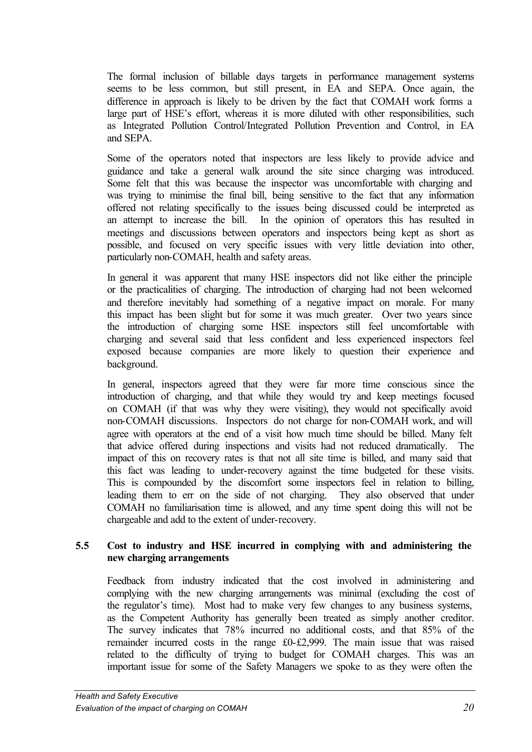The formal inclusion of billable days targets in performance management systems seems to be less common, but still present, in EA and SEPA. Once again, the difference in approach is likely to be driven by the fact that COMAH work forms a large part of HSE's effort, whereas it is more diluted with other responsibilities, such as Integrated Pollution Control/Integrated Pollution Prevention and Control, in EA and SEPA.

Some of the operators noted that inspectors are less likely to provide advice and guidance and take a general walk around the site since charging was introduced. Some felt that this was because the inspector was uncomfortable with charging and was trying to minimise the final bill, being sensitive to the fact that any information offered not relating specifically to the issues being discussed could be interpreted as an attempt to increase the bill. In the opinion of operators this has resulted in meetings and discussions between operators and inspectors being kept as short as possible, and focused on very specific issues with very little deviation into other, particularly non-COMAH, health and safety areas.

In general it was apparent that many HSE inspectors did not like either the principle or the practicalities of charging. The introduction of charging had not been welcomed and therefore inevitably had something of a negative impact on morale. For many this impact has been slight but for some it was much greater. Over two years since the introduction of charging some HSE inspectors still feel uncomfortable with charging and several said that less confident and less experienced inspectors feel exposed because companies are more likely to question their experience and background.

In general, inspectors agreed that they were far more time conscious since the introduction of charging, and that while they would try and keep meetings focused on COMAH (if that was why they were visiting), they would not specifically avoid non-COMAH discussions. Inspectors do not charge for non-COMAH work, and will agree with operators at the end of a visit how much time should be billed. Many felt that advice offered during inspections and visits had not reduced dramatically. The impact of this on recovery rates is that not all site time is billed, and many said that this fact was leading to under-recovery against the time budgeted for these visits. This is compounded by the discomfort some inspectors feel in relation to billing, leading them to err on the side of not charging. They also observed that under COMAH no familiarisation time is allowed, and any time spent doing this will not be chargeable and add to the extent of under-recovery.

## **5.5 Cost to industry and HSE incurred in complying with and administering the new charging arrangements**

Feedback from industry indicated that the cost involved in administering and complying with the new charging arrangements was minimal (excluding the cost of the regulator's time). Most had to make very few changes to any business systems, as the Competent Authority has generally been treated as simply another creditor. The survey indicates that 78% incurred no additional costs, and that 85% of the remainder incurred costs in the range £0-£2,999. The main issue that was raised related to the difficulty of trying to budget for COMAH charges. This was an important issue for some of the Safety Managers we spoke to as they were often the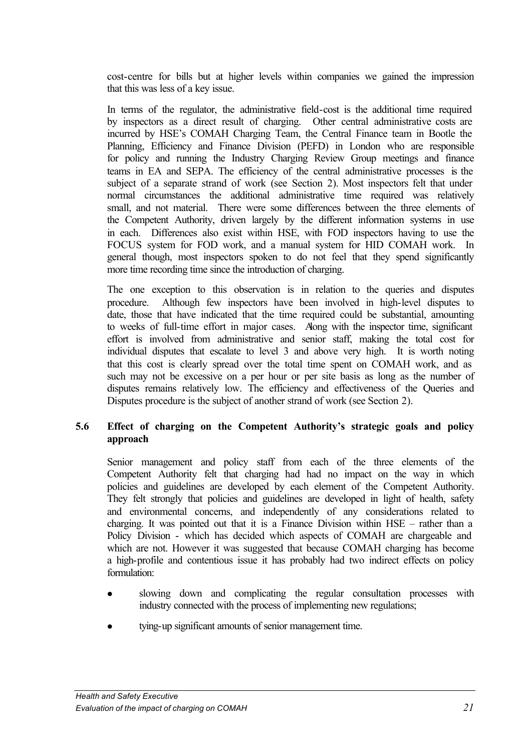cost-centre for bills but at higher levels within companies we gained the impression that this was less of a key issue.

In terms of the regulator, the administrative field-cost is the additional time required by inspectors as a direct result of charging. Other central administrative costs are incurred by HSE's COMAH Charging Team, the Central Finance team in Bootle the Planning, Efficiency and Finance Division (PEFD) in London who are responsible for policy and running the Industry Charging Review Group meetings and finance teams in EA and SEPA. The efficiency of the central administrative processes is the subject of a separate strand of work (see Section 2). Most inspectors felt that under normal circumstances the additional administrative time required was relatively small, and not material. There were some differences between the three elements of the Competent Authority, driven largely by the different information systems in use in each. Differences also exist within HSE, with FOD inspectors having to use the FOCUS system for FOD work, and a manual system for HID COMAH work. In general though, most inspectors spoken to do not feel that they spend significantly more time recording time since the introduction of charging.

The one exception to this observation is in relation to the queries and disputes procedure. Although few inspectors have been involved in high-level disputes to date, those that have indicated that the time required could be substantial, amounting to weeks of full-time effort in major cases. Along with the inspector time, significant effort is involved from administrative and senior staff, making the total cost for individual disputes that escalate to level 3 and above very high. It is worth noting that this cost is clearly spread over the total time spent on COMAH work, and as such may not be excessive on a per hour or per site basis as long as the number of disputes remains relatively low. The efficiency and effectiveness of the Queries and Disputes procedure is the subject of another strand of work (see Section 2).

## **5.6 Effect of charging on the Competent Authority's strategic goals and policy approach**

Senior management and policy staff from each of the three elements of the Competent Authority felt that charging had had no impact on the way in which policies and guidelines are developed by each element of the Competent Authority. They felt strongly that policies and guidelines are developed in light of health, safety and environmental concerns, and independently of any considerations related to charging. It was pointed out that it is a Finance Division within HSE – rather than a Policy Division - which has decided which aspects of COMAH are chargeable and which are not. However it was suggested that because COMAH charging has become a high-profile and contentious issue it has probably had two indirect effects on policy formulation:

- <sup>l</sup> slowing down and complicating the regular consultation processes with industry connected with the process of implementing new regulations;
- <sup>l</sup> tying-up significant amounts of senior management time.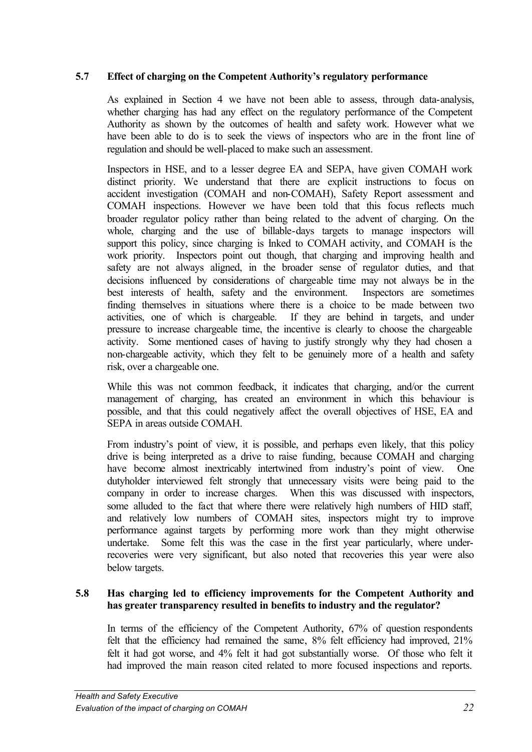## **5.7 Effect of charging on the Competent Authority's regulatory performance**

As explained in Section 4 we have not been able to assess, through data-analysis, whether charging has had any effect on the regulatory performance of the Competent Authority as shown by the outcomes of health and safety work. However what we have been able to do is to seek the views of inspectors who are in the front line of regulation and should be well-placed to make such an assessment.

Inspectors in HSE, and to a lesser degree EA and SEPA, have given COMAH work distinct priority. We understand that there are explicit instructions to focus on accident investigation (COMAH and non-COMAH), Safety Report assessment and COMAH inspections. However we have been told that this focus reflects much broader regulator policy rather than being related to the advent of charging. On the whole, charging and the use of billable-days targets to manage inspectors will support this policy, since charging is lnked to COMAH activity, and COMAH is the work priority. Inspectors point out though, that charging and improving health and safety are not always aligned, in the broader sense of regulator duties, and that decisions influenced by considerations of chargeable time may not always be in the best interests of health, safety and the environment. Inspectors are sometimes finding themselves in situations where there is a choice to be made between two activities, one of which is chargeable. If they are behind in targets, and under pressure to increase chargeable time, the incentive is clearly to choose the chargeable activity. Some mentioned cases of having to justify strongly why they had chosen a non-chargeable activity, which they felt to be genuinely more of a health and safety risk, over a chargeable one.

While this was not common feedback, it indicates that charging, and/or the current management of charging, has created an environment in which this behaviour is possible, and that this could negatively affect the overall objectives of HSE, EA and SEPA in areas outside COMAH.

From industry's point of view, it is possible, and perhaps even likely, that this policy drive is being interpreted as a drive to raise funding, because COMAH and charging have become almost inextricably intertwined from industry's point of view. One dutyholder interviewed felt strongly that unnecessary visits were being paid to the company in order to increase charges. When this was discussed with inspectors, some alluded to the fact that where there were relatively high numbers of HID staff. and relatively low numbers of COMAH sites, inspectors might try to improve performance against targets by performing more work than they might otherwise undertake. Some felt this was the case in the first year particularly, where underrecoveries were very significant, but also noted that recoveries this year were also below targets.

## **5.8 Has charging led to efficiency improvements for the Competent Authority and has greater transparency resulted in benefits to industry and the regulator?**

In terms of the efficiency of the Competent Authority, 67% of question respondents felt that the efficiency had remained the same, 8% felt efficiency had improved, 21% felt it had got worse, and 4% felt it had got substantially worse. Of those who felt it had improved the main reason cited related to more focused inspections and reports.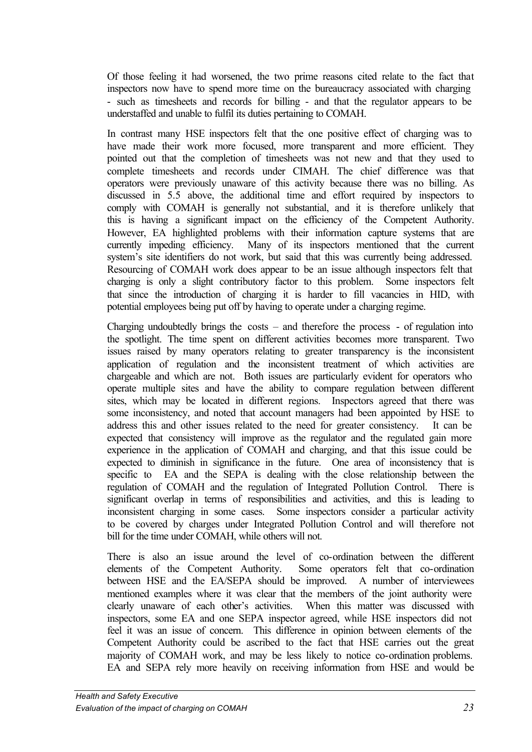Of those feeling it had worsened, the two prime reasons cited relate to the fact that inspectors now have to spend more time on the bureaucracy associated with charging - such as timesheets and records for billing - and that the regulator appears to be understaffed and unable to fulfil its duties pertaining to COMAH.

In contrast many HSE inspectors felt that the one positive effect of charging was to have made their work more focused, more transparent and more efficient. They pointed out that the completion of timesheets was not new and that they used to complete timesheets and records under CIMAH. The chief difference was that operators were previously unaware of this activity because there was no billing. As discussed in 5.5 above, the additional time and effort required by inspectors to comply with COMAH is generally not substantial, and it is therefore unlikely that this is having a significant impact on the efficiency of the Competent Authority. However, EA highlighted problems with their information capture systems that are currently impeding efficiency. Many of its inspectors mentioned that the current system's site identifiers do not work, but said that this was currently being addressed. Resourcing of COMAH work does appear to be an issue although inspectors felt that charging is only a slight contributory factor to this problem. Some inspectors felt that since the introduction of charging it is harder to fill vacancies in HID, with potential employees being put off by having to operate under a charging regime.

Charging undoubtedly brings the costs – and therefore the process - of regulation into the spotlight. The time spent on different activities becomes more transparent. Two issues raised by many operators relating to greater transparency is the inconsistent application of regulation and the inconsistent treatment of which activities are chargeable and which are not. Both issues are particularly evident for operators who operate multiple sites and have the ability to compare regulation between different sites, which may be located in different regions. Inspectors agreed that there was some inconsistency, and noted that account managers had been appointed by HSE to address this and other issues related to the need for greater consistency. It can be expected that consistency will improve as the regulator and the regulated gain more experience in the application of COMAH and charging, and that this issue could be expected to diminish in significance in the future. One area of inconsistency that is specific to EA and the SEPA is dealing with the close relationship between the regulation of COMAH and the regulation of Integrated Pollution Control. There is significant overlap in terms of responsibilities and activities, and this is leading to inconsistent charging in some cases. Some inspectors consider a particular activity to be covered by charges under Integrated Pollution Control and will therefore not bill for the time under COMAH, while others will not.

There is also an issue around the level of co-ordination between the different elements of the Competent Authority. Some operators felt that co-ordination between HSE and the EA/SEPA should be improved. A number of interviewees mentioned examples where it was clear that the members of the joint authority were clearly unaware of each other's activities. When this matter was discussed with inspectors, some EA and one SEPA inspector agreed, while HSE inspectors did not feel it was an issue of concern. This difference in opinion between elements of the Competent Authority could be ascribed to the fact that HSE carries out the great majority of COMAH work, and may be less likely to notice co-ordination problems. EA and SEPA rely more heavily on receiving information from HSE and would be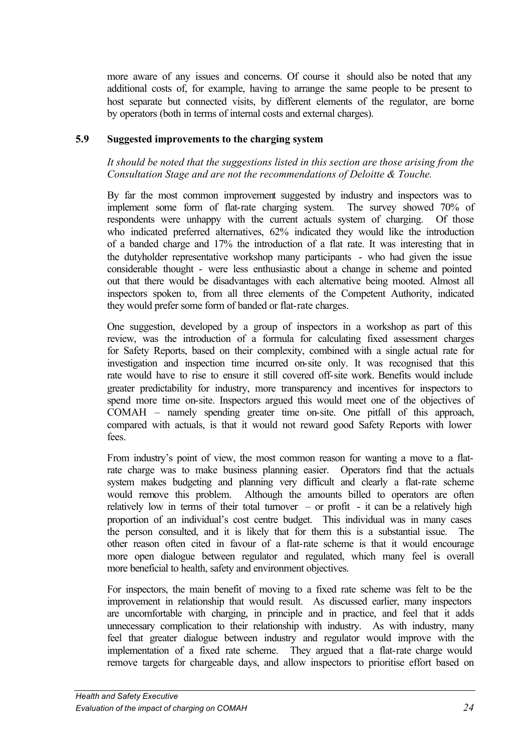more aware of any issues and concerns. Of course it should also be noted that any additional costs of, for example, having to arrange the same people to be present to host separate but connected visits, by different elements of the regulator, are borne by operators (both in terms of internal costs and external charges).

## **5.9 Suggested improvements to the charging system**

*It should be noted that the suggestions listed in this section are those arising from the Consultation Stage and are not the recommendations of Deloitte & Touche.*

By far the most common improvement suggested by industry and inspectors was to implement some form of flat-rate charging system. The survey showed 70% of respondents were unhappy with the current actuals system of charging. Of those who indicated preferred alternatives, 62% indicated they would like the introduction of a banded charge and 17% the introduction of a flat rate. It was interesting that in the dutyholder representative workshop many participants - who had given the issue considerable thought - were less enthusiastic about a change in scheme and pointed out that there would be disadvantages with each alternative being mooted. Almost all inspectors spoken to, from all three elements of the Competent Authority, indicated they would prefer some form of banded or flat-rate charges.

One suggestion, developed by a group of inspectors in a workshop as part of this review, was the introduction of a formula for calculating fixed assessment charges for Safety Reports, based on their complexity, combined with a single actual rate for investigation and inspection time incurred on-site only. It was recognised that this rate would have to rise to ensure it still covered off-site work. Benefits would include greater predictability for industry, more transparency and incentives for inspectors to spend more time on-site. Inspectors argued this would meet one of the objectives of COMAH – namely spending greater time on-site. One pitfall of this approach, compared with actuals, is that it would not reward good Safety Reports with lower fees.

From industry's point of view, the most common reason for wanting a move to a flatrate charge was to make business planning easier. Operators find that the actuals system makes budgeting and planning very difficult and clearly a flat-rate scheme would remove this problem. Although the amounts billed to operators are often relatively low in terms of their total turnover – or profit - it can be a relatively high proportion of an individual's cost centre budget. This individual was in many cases the person consulted, and it is likely that for them this is a substantial issue. The other reason often cited in favour of a flat-rate scheme is that it would encourage more open dialogue between regulator and regulated, which many feel is overall more beneficial to health, safety and environment objectives.

For inspectors, the main benefit of moving to a fixed rate scheme was felt to be the improvement in relationship that would result. As discussed earlier, many inspectors are uncomfortable with charging, in principle and in practice, and feel that it adds unnecessary complication to their relationship with industry. As with industry, many feel that greater dialogue between industry and regulator would improve with the implementation of a fixed rate scheme. They argued that a flat-rate charge would remove targets for chargeable days, and allow inspectors to prioritise effort based on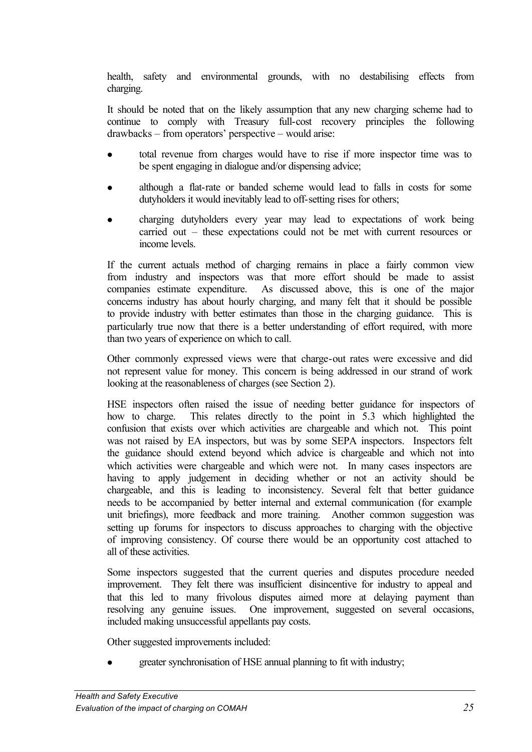health, safety and environmental grounds, with no destabilising effects from charging.

It should be noted that on the likely assumption that any new charging scheme had to continue to comply with Treasury full-cost recovery principles the following drawbacks – from operators' perspective – would arise:

- <sup>l</sup> total revenue from charges would have to rise if more inspector time was to be spent engaging in dialogue and/or dispensing advice;
- <sup>l</sup> although a flat-rate or banded scheme would lead to falls in costs for some dutyholders it would inevitably lead to off-setting rises for others;
- <sup>l</sup> charging dutyholders every year may lead to expectations of work being carried out – these expectations could not be met with current resources or income levels.

If the current actuals method of charging remains in place a fairly common view from industry and inspectors was that more effort should be made to assist companies estimate expenditure. As discussed above, this is one of the major concerns industry has about hourly charging, and many felt that it should be possible to provide industry with better estimates than those in the charging guidance. This is particularly true now that there is a better understanding of effort required, with more than two years of experience on which to call.

Other commonly expressed views were that charge-out rates were excessive and did not represent value for money. This concern is being addressed in our strand of work looking at the reasonableness of charges (see Section 2).

HSE inspectors often raised the issue of needing better guidance for inspectors of how to charge. This relates directly to the point in 5.3 which highlighted the confusion that exists over which activities are chargeable and which not. This point was not raised by EA inspectors, but was by some SEPA inspectors. Inspectors felt the guidance should extend beyond which advice is chargeable and which not into which activities were chargeable and which were not. In many cases inspectors are having to apply judgement in deciding whether or not an activity should be chargeable, and this is leading to inconsistency. Several felt that better guidance needs to be accompanied by better internal and external communication (for example unit briefings), more feedback and more training. Another common suggestion was setting up forums for inspectors to discuss approaches to charging with the objective of improving consistency. Of course there would be an opportunity cost attached to all of these activities.

Some inspectors suggested that the current queries and disputes procedure needed improvement. They felt there was insufficient disincentive for industry to appeal and that this led to many frivolous disputes aimed more at delaying payment than resolving any genuine issues. One improvement, suggested on several occasions, included making unsuccessful appellants pay costs.

Other suggested improvements included:

<sup>l</sup> greater synchronisation of HSE annual planning to fit with industry;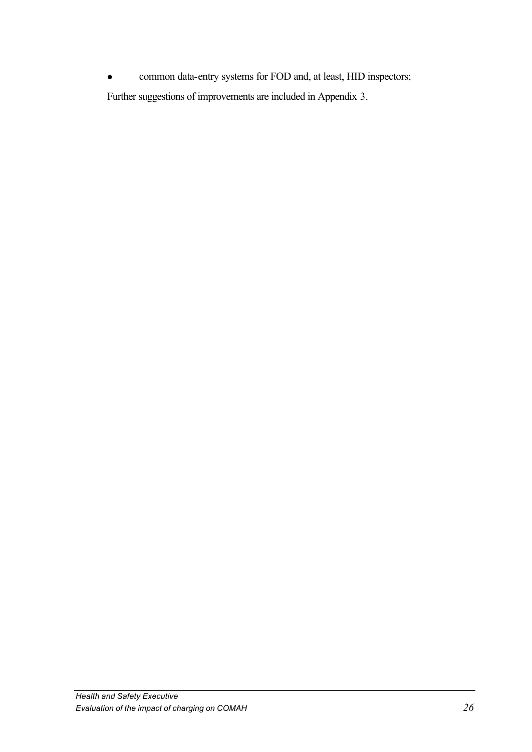• common data-entry systems for FOD and, at least, HID inspectors;

Further suggestions of improvements are included in Appendix 3.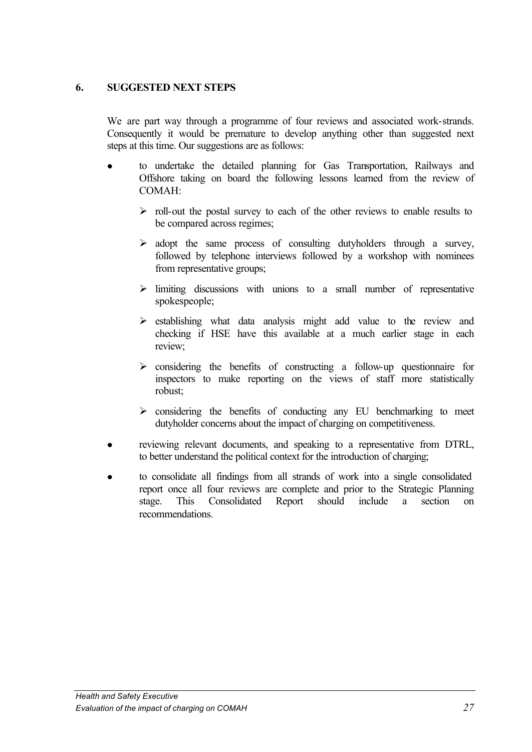# **6. SUGGESTED NEXT STEPS**

We are part way through a programme of four reviews and associated work-strands. Consequently it would be premature to develop anything other than suggested next steps at this time. Our suggestions are as follows:

- to undertake the detailed planning for Gas Transportation, Railways and Offshore taking on board the following lessons learned from the review of COMAH:
	- $\triangleright$  roll-out the postal survey to each of the other reviews to enable results to be compared across regimes;
	- $\triangleright$  adopt the same process of consulting dutyholders through a survey, followed by telephone interviews followed by a workshop with nominees from representative groups;
	- $\triangleright$  limiting discussions with unions to a small number of representative spokespeople;
	- $\triangleright$  establishing what data analysis might add value to the review and checking if HSE have this available at a much earlier stage in each review;
	- $\triangleright$  considering the benefits of constructing a follow-up questionnaire for inspectors to make reporting on the views of staff more statistically robust;
	- $\triangleright$  considering the benefits of conducting any EU benchmarking to meet dutyholder concerns about the impact of charging on competitiveness.
- reviewing relevant documents, and speaking to a representative from DTRL, to better understand the political context for the introduction of charging;
- <sup>l</sup> to consolidate all findings from all strands of work into a single consolidated report once all four reviews are complete and prior to the Strategic Planning stage. This Consolidated Report should include a section on recommendations.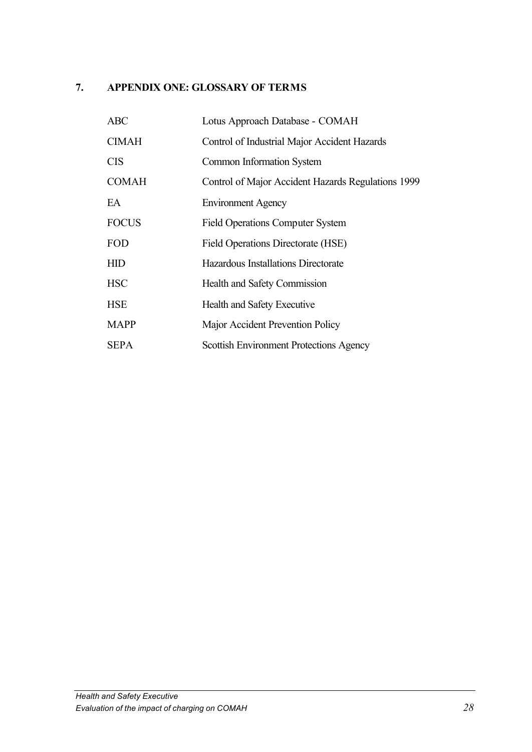# **7. APPENDIX ONE: GLOSSARY OF TERMS**

| <b>ABC</b>   | Lotus Approach Database - COMAH                    |
|--------------|----------------------------------------------------|
| <b>CIMAH</b> | Control of Industrial Major Accident Hazards       |
| <b>CIS</b>   | <b>Common Information System</b>                   |
| <b>COMAH</b> | Control of Major Accident Hazards Regulations 1999 |
| EA           | <b>Environment Agency</b>                          |
| <b>FOCUS</b> | <b>Field Operations Computer System</b>            |
| FOD          | Field Operations Directorate (HSE)                 |
| <b>HID</b>   | Hazardous Installations Directorate                |
| <b>HSC</b>   | Health and Safety Commission                       |
| <b>HSE</b>   | Health and Safety Executive                        |
| <b>MAPP</b>  | Major Accident Prevention Policy                   |
| <b>SEPA</b>  | <b>Scottish Environment Protections Agency</b>     |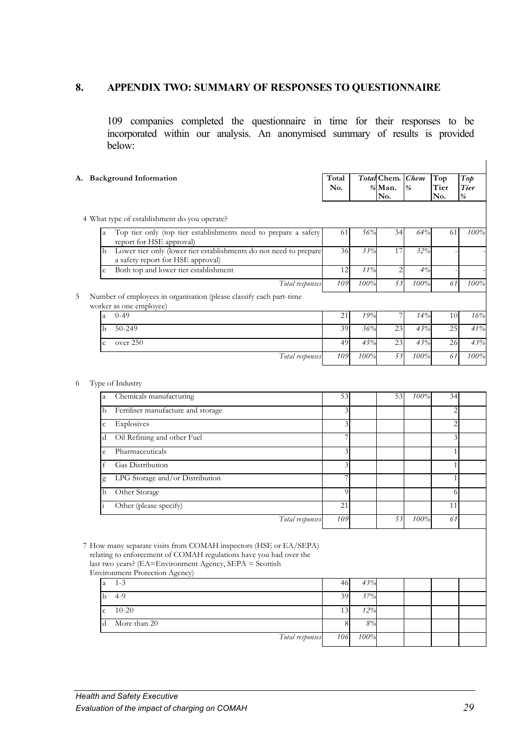# **8. APPENDIX TWO: SUMMARY OF RESPONSES TO QUESTIONNAIRE**

109 companies completed the questionnaire in time for their responses to be incorporated within our analysis. An anonymised summary of results is provided below:

#### **A.** Background Information

|   | A. Background Information                                                                                   | Total<br>No. |      | Total Chem. Chem<br>$%$ Man.<br>No. | $\frac{9}{6}$ | $\Gamma$ op<br>Tier<br>No. | $\mathbf{Top}$<br>Tier<br>$\frac{9}{6}$ |
|---|-------------------------------------------------------------------------------------------------------------|--------------|------|-------------------------------------|---------------|----------------------------|-----------------------------------------|
|   | 4 What type of establishment do you operate?                                                                |              |      |                                     |               |                            |                                         |
|   | Top tier only (top tier establishments need to prepare a safety<br>a<br>report for HSE approval)            | 61           | 56%  | 34                                  | 64%           | 61                         | 100%                                    |
|   | Lower tier only (lower tier establishments do not need to prepare<br>b<br>a safety report for HSE approval) | 36           | 33%  |                                     | 32%           |                            |                                         |
|   | Both top and lower tier establishment<br>C                                                                  | 12           | 11%  |                                     | 4%            |                            |                                         |
|   | Total responses                                                                                             | 109          | 100% | 53                                  | 100%          | 61                         | 100%                                    |
| 5 | Number of employees in organisation (please classify each part-time<br>worker as one employee)              |              |      |                                     |               |                            |                                         |
|   | $0-49$<br>a                                                                                                 | $2^{\circ}$  | 19%  |                                     | 14%           | 10                         | 16%                                     |
|   | 50-249<br>b                                                                                                 | 39           | 36%  | 23                                  | 43%           | 25                         | 41%                                     |
|   | over 250<br>C                                                                                               | 49           | 45%  | 23                                  | 43%           | 26                         | 43%                                     |
|   | Total responses                                                                                             | 109          | 100% | 53                                  | 100%          | 61                         | 100%                                    |

#### 6 Type of Industry

| a a          | Chemicals manufacturing            | 53  | 53I | 100% | 34  |  |
|--------------|------------------------------------|-----|-----|------|-----|--|
| b            | Fertiliser manufacture and storage | 3   |     |      |     |  |
| $\mathbf{C}$ | Explosives                         |     |     |      |     |  |
| d            | Oil Refining and other Fuel        |     |     |      |     |  |
| e            | Pharmaceuticals                    | 3   |     |      |     |  |
| f            | Gas Distribution                   | 3   |     |      |     |  |
| g            | LPG Storage and/or Distribution    |     |     |      |     |  |
| h            | Other Storage                      |     |     |      |     |  |
|              | Other (please specify)             | 21  |     |      | 11  |  |
|              | Total responses                    | 109 | 53  | 100% | -61 |  |

7 How many separate visits from COMAH inspectors (HSE or EA/SEPA) relating to enforcement of COMAH regulations have you had over the

|   | last two years? (EA=Environment Agency, SEPA = Scottish<br><b>Environment Protection Agency</b> ) |                        |      |  |
|---|---------------------------------------------------------------------------------------------------|------------------------|------|--|
| a | $1 - 3$                                                                                           | 46                     | 43%  |  |
|   | $4-9$                                                                                             | 39                     | 37%  |  |
| C | $10 - 20$                                                                                         | 13 <sub>1</sub>        | 12%  |  |
| d | More than 20                                                                                      |                        | 8%   |  |
|   |                                                                                                   | Total responses<br>106 | 100% |  |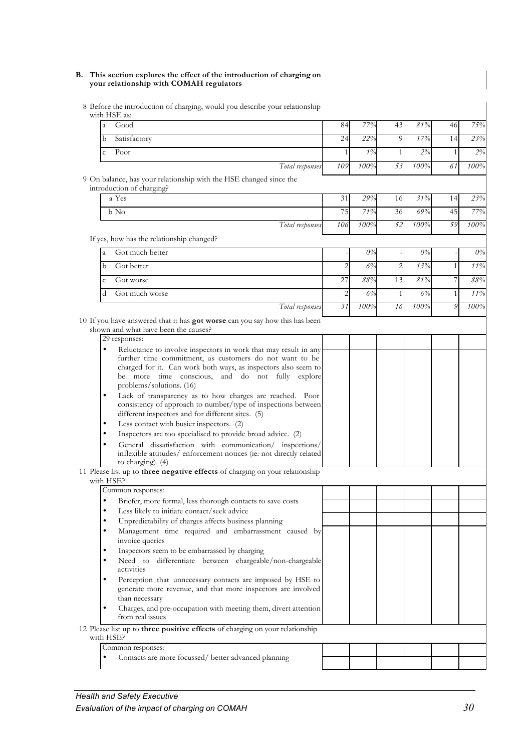#### **B. This section explores the effect of the introduction of charging on your relationship with COMAH regulators**

8 Before the introduction of charging, would you describe your relationship

with HSE as:

|                        | with пэе as:                                                                                                                                         |     |       |    |      |    |      |
|------------------------|------------------------------------------------------------------------------------------------------------------------------------------------------|-----|-------|----|------|----|------|
| $\alpha$               | Good                                                                                                                                                 | 84  | 77%   | 43 | 81%  | 46 | 75%  |
| b                      | Satisfactory                                                                                                                                         | 24  | 22%   | 9  | 17%  | 14 | 23%  |
| $\mathbf{c}$           | Poor                                                                                                                                                 | 1   | 1%    | 1  | 2%   | 1  | 2%   |
|                        | Total responses                                                                                                                                      | 109 | 100%  | 53 | 100% | 61 | 100% |
|                        | 9 On balance, has your relationship with the HSE changed since the                                                                                   |     |       |    |      |    |      |
|                        | introduction of charging?                                                                                                                            |     |       |    |      |    |      |
|                        | a Yes                                                                                                                                                | 31  | 29%   | 16 | 31%  | 14 | 23%  |
|                        | b No                                                                                                                                                 | 75  | 71%   | 36 | 69%  | 45 | 77%  |
|                        | Total responses                                                                                                                                      | 106 | 100%  | 52 | 100% | 59 | 100% |
|                        | If yes, how has the relationship changed?                                                                                                            |     |       |    |      |    |      |
| $\mathbf{a}$           | Got much better                                                                                                                                      |     | $0\%$ |    | 0%   |    | 0%   |
| b                      | Got better                                                                                                                                           | 2   | 6%    | 2  | 13%  | 1  | 11%  |
|                        | Got worse                                                                                                                                            | 27  |       | 13 |      |    |      |
| $\mathbf c$            |                                                                                                                                                      |     | 88%   |    | 81%  |    | 88%  |
| d                      | Got much worse                                                                                                                                       | 2   | 6%    | 1  | 6%   | 1  | 11%  |
|                        | Total responses                                                                                                                                      | 31  | 100%  | 16 | 100% | 9  | 100% |
|                        | 10 If you have answered that it has got worse can you say how this has been                                                                          |     |       |    |      |    |      |
|                        | shown and what have been the causes?                                                                                                                 |     |       |    |      |    |      |
| $\bullet$              | 29 responses:                                                                                                                                        |     |       |    |      |    |      |
|                        | Reluctance to involve inspectors in work that may result in any<br>further time commitment, as customers do not want to be                           |     |       |    |      |    |      |
|                        | charged for it. Can work both ways, as inspectors also seem to                                                                                       |     |       |    |      |    |      |
|                        | be more time conscious, and do not fully explore                                                                                                     |     |       |    |      |    |      |
|                        | problems/solutions. (16)                                                                                                                             |     |       |    |      |    |      |
| $\bullet$              | Lack of transparency as to how charges are reached. Poor                                                                                             |     |       |    |      |    |      |
|                        | consistency of approach to number/type of inspections between                                                                                        |     |       |    |      |    |      |
|                        | different inspectors and for different sites. (5)                                                                                                    |     |       |    |      |    |      |
| $\bullet$              | Less contact with busier inspectors. (2)                                                                                                             |     |       |    |      |    |      |
| $\bullet$              | Inspectors are too specialised to provide broad advice. (2)                                                                                          |     |       |    |      |    |      |
| $\bullet$              | General dissatisfaction with communication/ inspections/<br>inflexible attitudes/ enforcement notices (ie: not directly related<br>to charging). (4) |     |       |    |      |    |      |
|                        | 11 Please list up to three negative effects of charging on your relationship                                                                         |     |       |    |      |    |      |
| with HSE?              |                                                                                                                                                      |     |       |    |      |    |      |
|                        | Common responses:                                                                                                                                    |     |       |    |      |    |      |
| $\bullet$<br>$\bullet$ | Briefer, more formal, less thorough contacts to save costs<br>Less likely to initiate contact/seek advice                                            |     |       |    |      |    |      |
| $\bullet$              | Unpredictability of charges affects business planning                                                                                                |     |       |    |      |    |      |
| $\bullet$              | Management time required and embarrassment caused by                                                                                                 |     |       |    |      |    |      |
|                        | invoice queries                                                                                                                                      |     |       |    |      |    |      |
| $\bullet$              | Inspectors seem to be embarrassed by charging                                                                                                        |     |       |    |      |    |      |
|                        | Need to differentiate between chargeable/non-chargeable<br>activities                                                                                |     |       |    |      |    |      |
| ٠                      | Perception that unnecessary contacts are imposed by HSE to<br>generate more revenue, and that more inspectors are involved                           |     |       |    |      |    |      |
|                        | than necessary                                                                                                                                       |     |       |    |      |    |      |
| ٠                      | Charges, and pre-occupation with meeting them, divert attention<br>from real issues                                                                  |     |       |    |      |    |      |
|                        | 12 Please list up to three positive effects of charging on your relationship                                                                         |     |       |    |      |    |      |
| with HSE?              |                                                                                                                                                      |     |       |    |      |    |      |
|                        | Common responses:                                                                                                                                    |     |       |    |      |    |      |
| $\bullet$              | Contacts are more focussed/ better advanced planning                                                                                                 |     |       |    |      |    |      |
|                        |                                                                                                                                                      |     |       |    |      |    |      |

 $\overline{\phantom{a}}$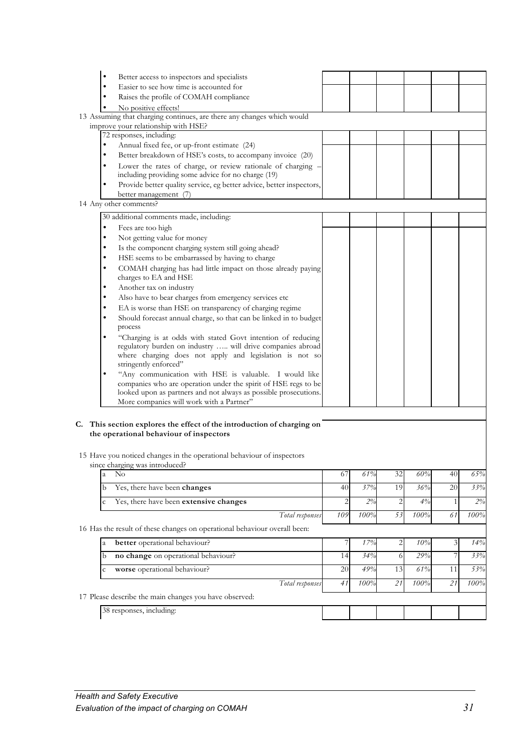| Better access to inspectors and specialists<br>$\bullet$<br>Easier to see how time is accounted for<br>$\bullet$<br>Raises the profile of COMAH compliance<br>٠<br>No positive effects!<br>13 Assuming that charging continues, are there any changes which would<br>improve your relationship with HSE?<br>72 responses, including:<br>Annual fixed fee, or up-front estimate (24)<br>٠<br>Better breakdown of HSE's costs, to accompany invoice (20)<br>٠<br>Lower the rates of charge, or review rationale of charging<br>$\bullet$<br>including providing some advice for no charge (19)<br>Provide better quality service, eg better advice, better inspectors,<br>٠<br>better management (7)<br>14 Any other comments?<br>30 additional comments made, including:<br>Fees are too high<br>٠<br>Not getting value for money<br>٠<br>Is the component charging system still going ahead?<br>٠<br>HSE seems to be embarrassed by having to charge<br>٠<br>COMAH charging has had little impact on those already paying<br>$\bullet$<br>charges to EA and HSE<br>Another tax on industry<br>٠<br>Also have to bear charges from emergency services etc<br>٠<br>EA is worse than HSE on transparency of charging regime<br>٠<br>Should forecast annual charge, so that can be linked in to budget<br>٠<br>process<br>"Charging is at odds with stated Govt intention of reducing<br>$\bullet$<br>regulatory burden on industry  will drive companies abroad<br>where charging does not apply and legislation is not so<br>stringently enforced"<br>"Any communication with HSE is valuable. I would like<br>$\bullet$<br>companies who are operation under the spirit of HSE regs to be<br>looked upon as partners and not always as possible prosecutions.<br>More companies will work with a Partner"<br>This section explores the effect of the introduction of charging on<br>the operational behaviour of inspectors<br>15 Have you noticed changes in the operational behaviour of inspectors<br>since charging was introduced?<br>61%<br>$60\%$<br>67<br>32<br>No<br>40<br>$\mathfrak a$<br>Yes, there have been changes<br>19<br>37%<br>36%<br>20<br>40<br>b<br>Yes, there have been extensive changes<br>2%<br>$4\%$<br>2<br>$\mathsf c$<br>2<br>1<br>Total responses<br>100%<br>53<br>100%<br>109<br>61<br>16 Has the result of these changes on operational behaviour overall been:<br>better operational behaviour?<br>17%<br>$\overline{c}$<br>10%<br>3<br>а<br>no change on operational behaviour?<br>29%<br>34%<br>14<br>b<br>6<br>worse operational behaviour?<br>49%<br>13<br>61%<br>20<br>11<br>$\mathsf{C}$ |                 |    |      |    |      |    |      |
|---------------------------------------------------------------------------------------------------------------------------------------------------------------------------------------------------------------------------------------------------------------------------------------------------------------------------------------------------------------------------------------------------------------------------------------------------------------------------------------------------------------------------------------------------------------------------------------------------------------------------------------------------------------------------------------------------------------------------------------------------------------------------------------------------------------------------------------------------------------------------------------------------------------------------------------------------------------------------------------------------------------------------------------------------------------------------------------------------------------------------------------------------------------------------------------------------------------------------------------------------------------------------------------------------------------------------------------------------------------------------------------------------------------------------------------------------------------------------------------------------------------------------------------------------------------------------------------------------------------------------------------------------------------------------------------------------------------------------------------------------------------------------------------------------------------------------------------------------------------------------------------------------------------------------------------------------------------------------------------------------------------------------------------------------------------------------------------------------------------------------------------------------------------------------------------------------------------------------------------------------------------------------------------------------------------------------------------------------------------------------------------------------------------------------------------------------------------------------------------------------------------------------------------------------------------------------------------------------------------------------------|-----------------|----|------|----|------|----|------|
|                                                                                                                                                                                                                                                                                                                                                                                                                                                                                                                                                                                                                                                                                                                                                                                                                                                                                                                                                                                                                                                                                                                                                                                                                                                                                                                                                                                                                                                                                                                                                                                                                                                                                                                                                                                                                                                                                                                                                                                                                                                                                                                                                                                                                                                                                                                                                                                                                                                                                                                                                                                                                                 |                 |    |      |    |      |    |      |
|                                                                                                                                                                                                                                                                                                                                                                                                                                                                                                                                                                                                                                                                                                                                                                                                                                                                                                                                                                                                                                                                                                                                                                                                                                                                                                                                                                                                                                                                                                                                                                                                                                                                                                                                                                                                                                                                                                                                                                                                                                                                                                                                                                                                                                                                                                                                                                                                                                                                                                                                                                                                                                 |                 |    |      |    |      |    |      |
|                                                                                                                                                                                                                                                                                                                                                                                                                                                                                                                                                                                                                                                                                                                                                                                                                                                                                                                                                                                                                                                                                                                                                                                                                                                                                                                                                                                                                                                                                                                                                                                                                                                                                                                                                                                                                                                                                                                                                                                                                                                                                                                                                                                                                                                                                                                                                                                                                                                                                                                                                                                                                                 |                 |    |      |    |      |    |      |
|                                                                                                                                                                                                                                                                                                                                                                                                                                                                                                                                                                                                                                                                                                                                                                                                                                                                                                                                                                                                                                                                                                                                                                                                                                                                                                                                                                                                                                                                                                                                                                                                                                                                                                                                                                                                                                                                                                                                                                                                                                                                                                                                                                                                                                                                                                                                                                                                                                                                                                                                                                                                                                 |                 |    |      |    |      |    |      |
|                                                                                                                                                                                                                                                                                                                                                                                                                                                                                                                                                                                                                                                                                                                                                                                                                                                                                                                                                                                                                                                                                                                                                                                                                                                                                                                                                                                                                                                                                                                                                                                                                                                                                                                                                                                                                                                                                                                                                                                                                                                                                                                                                                                                                                                                                                                                                                                                                                                                                                                                                                                                                                 |                 |    |      |    |      |    |      |
|                                                                                                                                                                                                                                                                                                                                                                                                                                                                                                                                                                                                                                                                                                                                                                                                                                                                                                                                                                                                                                                                                                                                                                                                                                                                                                                                                                                                                                                                                                                                                                                                                                                                                                                                                                                                                                                                                                                                                                                                                                                                                                                                                                                                                                                                                                                                                                                                                                                                                                                                                                                                                                 |                 |    |      |    |      |    |      |
|                                                                                                                                                                                                                                                                                                                                                                                                                                                                                                                                                                                                                                                                                                                                                                                                                                                                                                                                                                                                                                                                                                                                                                                                                                                                                                                                                                                                                                                                                                                                                                                                                                                                                                                                                                                                                                                                                                                                                                                                                                                                                                                                                                                                                                                                                                                                                                                                                                                                                                                                                                                                                                 |                 |    |      |    |      |    |      |
|                                                                                                                                                                                                                                                                                                                                                                                                                                                                                                                                                                                                                                                                                                                                                                                                                                                                                                                                                                                                                                                                                                                                                                                                                                                                                                                                                                                                                                                                                                                                                                                                                                                                                                                                                                                                                                                                                                                                                                                                                                                                                                                                                                                                                                                                                                                                                                                                                                                                                                                                                                                                                                 |                 |    |      |    |      |    |      |
|                                                                                                                                                                                                                                                                                                                                                                                                                                                                                                                                                                                                                                                                                                                                                                                                                                                                                                                                                                                                                                                                                                                                                                                                                                                                                                                                                                                                                                                                                                                                                                                                                                                                                                                                                                                                                                                                                                                                                                                                                                                                                                                                                                                                                                                                                                                                                                                                                                                                                                                                                                                                                                 |                 |    |      |    |      |    |      |
|                                                                                                                                                                                                                                                                                                                                                                                                                                                                                                                                                                                                                                                                                                                                                                                                                                                                                                                                                                                                                                                                                                                                                                                                                                                                                                                                                                                                                                                                                                                                                                                                                                                                                                                                                                                                                                                                                                                                                                                                                                                                                                                                                                                                                                                                                                                                                                                                                                                                                                                                                                                                                                 |                 |    |      |    |      |    |      |
|                                                                                                                                                                                                                                                                                                                                                                                                                                                                                                                                                                                                                                                                                                                                                                                                                                                                                                                                                                                                                                                                                                                                                                                                                                                                                                                                                                                                                                                                                                                                                                                                                                                                                                                                                                                                                                                                                                                                                                                                                                                                                                                                                                                                                                                                                                                                                                                                                                                                                                                                                                                                                                 |                 |    |      |    |      |    |      |
|                                                                                                                                                                                                                                                                                                                                                                                                                                                                                                                                                                                                                                                                                                                                                                                                                                                                                                                                                                                                                                                                                                                                                                                                                                                                                                                                                                                                                                                                                                                                                                                                                                                                                                                                                                                                                                                                                                                                                                                                                                                                                                                                                                                                                                                                                                                                                                                                                                                                                                                                                                                                                                 |                 |    |      |    |      |    |      |
|                                                                                                                                                                                                                                                                                                                                                                                                                                                                                                                                                                                                                                                                                                                                                                                                                                                                                                                                                                                                                                                                                                                                                                                                                                                                                                                                                                                                                                                                                                                                                                                                                                                                                                                                                                                                                                                                                                                                                                                                                                                                                                                                                                                                                                                                                                                                                                                                                                                                                                                                                                                                                                 |                 |    |      |    |      |    |      |
|                                                                                                                                                                                                                                                                                                                                                                                                                                                                                                                                                                                                                                                                                                                                                                                                                                                                                                                                                                                                                                                                                                                                                                                                                                                                                                                                                                                                                                                                                                                                                                                                                                                                                                                                                                                                                                                                                                                                                                                                                                                                                                                                                                                                                                                                                                                                                                                                                                                                                                                                                                                                                                 |                 |    |      |    |      |    |      |
|                                                                                                                                                                                                                                                                                                                                                                                                                                                                                                                                                                                                                                                                                                                                                                                                                                                                                                                                                                                                                                                                                                                                                                                                                                                                                                                                                                                                                                                                                                                                                                                                                                                                                                                                                                                                                                                                                                                                                                                                                                                                                                                                                                                                                                                                                                                                                                                                                                                                                                                                                                                                                                 |                 |    |      |    |      |    |      |
|                                                                                                                                                                                                                                                                                                                                                                                                                                                                                                                                                                                                                                                                                                                                                                                                                                                                                                                                                                                                                                                                                                                                                                                                                                                                                                                                                                                                                                                                                                                                                                                                                                                                                                                                                                                                                                                                                                                                                                                                                                                                                                                                                                                                                                                                                                                                                                                                                                                                                                                                                                                                                                 |                 |    |      |    |      |    |      |
|                                                                                                                                                                                                                                                                                                                                                                                                                                                                                                                                                                                                                                                                                                                                                                                                                                                                                                                                                                                                                                                                                                                                                                                                                                                                                                                                                                                                                                                                                                                                                                                                                                                                                                                                                                                                                                                                                                                                                                                                                                                                                                                                                                                                                                                                                                                                                                                                                                                                                                                                                                                                                                 |                 |    |      |    |      |    |      |
|                                                                                                                                                                                                                                                                                                                                                                                                                                                                                                                                                                                                                                                                                                                                                                                                                                                                                                                                                                                                                                                                                                                                                                                                                                                                                                                                                                                                                                                                                                                                                                                                                                                                                                                                                                                                                                                                                                                                                                                                                                                                                                                                                                                                                                                                                                                                                                                                                                                                                                                                                                                                                                 |                 |    |      |    |      |    |      |
|                                                                                                                                                                                                                                                                                                                                                                                                                                                                                                                                                                                                                                                                                                                                                                                                                                                                                                                                                                                                                                                                                                                                                                                                                                                                                                                                                                                                                                                                                                                                                                                                                                                                                                                                                                                                                                                                                                                                                                                                                                                                                                                                                                                                                                                                                                                                                                                                                                                                                                                                                                                                                                 |                 |    |      |    |      |    |      |
|                                                                                                                                                                                                                                                                                                                                                                                                                                                                                                                                                                                                                                                                                                                                                                                                                                                                                                                                                                                                                                                                                                                                                                                                                                                                                                                                                                                                                                                                                                                                                                                                                                                                                                                                                                                                                                                                                                                                                                                                                                                                                                                                                                                                                                                                                                                                                                                                                                                                                                                                                                                                                                 |                 |    |      |    |      |    |      |
|                                                                                                                                                                                                                                                                                                                                                                                                                                                                                                                                                                                                                                                                                                                                                                                                                                                                                                                                                                                                                                                                                                                                                                                                                                                                                                                                                                                                                                                                                                                                                                                                                                                                                                                                                                                                                                                                                                                                                                                                                                                                                                                                                                                                                                                                                                                                                                                                                                                                                                                                                                                                                                 |                 |    |      |    |      |    |      |
|                                                                                                                                                                                                                                                                                                                                                                                                                                                                                                                                                                                                                                                                                                                                                                                                                                                                                                                                                                                                                                                                                                                                                                                                                                                                                                                                                                                                                                                                                                                                                                                                                                                                                                                                                                                                                                                                                                                                                                                                                                                                                                                                                                                                                                                                                                                                                                                                                                                                                                                                                                                                                                 |                 |    |      |    |      |    |      |
|                                                                                                                                                                                                                                                                                                                                                                                                                                                                                                                                                                                                                                                                                                                                                                                                                                                                                                                                                                                                                                                                                                                                                                                                                                                                                                                                                                                                                                                                                                                                                                                                                                                                                                                                                                                                                                                                                                                                                                                                                                                                                                                                                                                                                                                                                                                                                                                                                                                                                                                                                                                                                                 |                 |    |      |    |      |    |      |
|                                                                                                                                                                                                                                                                                                                                                                                                                                                                                                                                                                                                                                                                                                                                                                                                                                                                                                                                                                                                                                                                                                                                                                                                                                                                                                                                                                                                                                                                                                                                                                                                                                                                                                                                                                                                                                                                                                                                                                                                                                                                                                                                                                                                                                                                                                                                                                                                                                                                                                                                                                                                                                 |                 |    |      |    |      |    |      |
|                                                                                                                                                                                                                                                                                                                                                                                                                                                                                                                                                                                                                                                                                                                                                                                                                                                                                                                                                                                                                                                                                                                                                                                                                                                                                                                                                                                                                                                                                                                                                                                                                                                                                                                                                                                                                                                                                                                                                                                                                                                                                                                                                                                                                                                                                                                                                                                                                                                                                                                                                                                                                                 |                 |    |      |    |      |    |      |
|                                                                                                                                                                                                                                                                                                                                                                                                                                                                                                                                                                                                                                                                                                                                                                                                                                                                                                                                                                                                                                                                                                                                                                                                                                                                                                                                                                                                                                                                                                                                                                                                                                                                                                                                                                                                                                                                                                                                                                                                                                                                                                                                                                                                                                                                                                                                                                                                                                                                                                                                                                                                                                 |                 |    |      |    |      |    |      |
|                                                                                                                                                                                                                                                                                                                                                                                                                                                                                                                                                                                                                                                                                                                                                                                                                                                                                                                                                                                                                                                                                                                                                                                                                                                                                                                                                                                                                                                                                                                                                                                                                                                                                                                                                                                                                                                                                                                                                                                                                                                                                                                                                                                                                                                                                                                                                                                                                                                                                                                                                                                                                                 |                 |    |      |    |      |    |      |
|                                                                                                                                                                                                                                                                                                                                                                                                                                                                                                                                                                                                                                                                                                                                                                                                                                                                                                                                                                                                                                                                                                                                                                                                                                                                                                                                                                                                                                                                                                                                                                                                                                                                                                                                                                                                                                                                                                                                                                                                                                                                                                                                                                                                                                                                                                                                                                                                                                                                                                                                                                                                                                 |                 |    |      |    |      |    |      |
|                                                                                                                                                                                                                                                                                                                                                                                                                                                                                                                                                                                                                                                                                                                                                                                                                                                                                                                                                                                                                                                                                                                                                                                                                                                                                                                                                                                                                                                                                                                                                                                                                                                                                                                                                                                                                                                                                                                                                                                                                                                                                                                                                                                                                                                                                                                                                                                                                                                                                                                                                                                                                                 |                 |    |      |    |      |    |      |
|                                                                                                                                                                                                                                                                                                                                                                                                                                                                                                                                                                                                                                                                                                                                                                                                                                                                                                                                                                                                                                                                                                                                                                                                                                                                                                                                                                                                                                                                                                                                                                                                                                                                                                                                                                                                                                                                                                                                                                                                                                                                                                                                                                                                                                                                                                                                                                                                                                                                                                                                                                                                                                 |                 |    |      |    |      |    | 65%  |
|                                                                                                                                                                                                                                                                                                                                                                                                                                                                                                                                                                                                                                                                                                                                                                                                                                                                                                                                                                                                                                                                                                                                                                                                                                                                                                                                                                                                                                                                                                                                                                                                                                                                                                                                                                                                                                                                                                                                                                                                                                                                                                                                                                                                                                                                                                                                                                                                                                                                                                                                                                                                                                 |                 |    |      |    |      |    | 33%  |
|                                                                                                                                                                                                                                                                                                                                                                                                                                                                                                                                                                                                                                                                                                                                                                                                                                                                                                                                                                                                                                                                                                                                                                                                                                                                                                                                                                                                                                                                                                                                                                                                                                                                                                                                                                                                                                                                                                                                                                                                                                                                                                                                                                                                                                                                                                                                                                                                                                                                                                                                                                                                                                 |                 |    |      |    |      |    | 2%   |
|                                                                                                                                                                                                                                                                                                                                                                                                                                                                                                                                                                                                                                                                                                                                                                                                                                                                                                                                                                                                                                                                                                                                                                                                                                                                                                                                                                                                                                                                                                                                                                                                                                                                                                                                                                                                                                                                                                                                                                                                                                                                                                                                                                                                                                                                                                                                                                                                                                                                                                                                                                                                                                 |                 |    |      |    |      |    | 100% |
|                                                                                                                                                                                                                                                                                                                                                                                                                                                                                                                                                                                                                                                                                                                                                                                                                                                                                                                                                                                                                                                                                                                                                                                                                                                                                                                                                                                                                                                                                                                                                                                                                                                                                                                                                                                                                                                                                                                                                                                                                                                                                                                                                                                                                                                                                                                                                                                                                                                                                                                                                                                                                                 |                 |    |      |    |      |    |      |
|                                                                                                                                                                                                                                                                                                                                                                                                                                                                                                                                                                                                                                                                                                                                                                                                                                                                                                                                                                                                                                                                                                                                                                                                                                                                                                                                                                                                                                                                                                                                                                                                                                                                                                                                                                                                                                                                                                                                                                                                                                                                                                                                                                                                                                                                                                                                                                                                                                                                                                                                                                                                                                 |                 |    |      |    |      |    | 14%  |
|                                                                                                                                                                                                                                                                                                                                                                                                                                                                                                                                                                                                                                                                                                                                                                                                                                                                                                                                                                                                                                                                                                                                                                                                                                                                                                                                                                                                                                                                                                                                                                                                                                                                                                                                                                                                                                                                                                                                                                                                                                                                                                                                                                                                                                                                                                                                                                                                                                                                                                                                                                                                                                 |                 |    |      |    |      |    | 33%  |
|                                                                                                                                                                                                                                                                                                                                                                                                                                                                                                                                                                                                                                                                                                                                                                                                                                                                                                                                                                                                                                                                                                                                                                                                                                                                                                                                                                                                                                                                                                                                                                                                                                                                                                                                                                                                                                                                                                                                                                                                                                                                                                                                                                                                                                                                                                                                                                                                                                                                                                                                                                                                                                 |                 |    |      |    |      |    | 53%  |
|                                                                                                                                                                                                                                                                                                                                                                                                                                                                                                                                                                                                                                                                                                                                                                                                                                                                                                                                                                                                                                                                                                                                                                                                                                                                                                                                                                                                                                                                                                                                                                                                                                                                                                                                                                                                                                                                                                                                                                                                                                                                                                                                                                                                                                                                                                                                                                                                                                                                                                                                                                                                                                 | Total responses | 41 | 100% | 21 | 100% | 21 | 100% |

38 responses, including: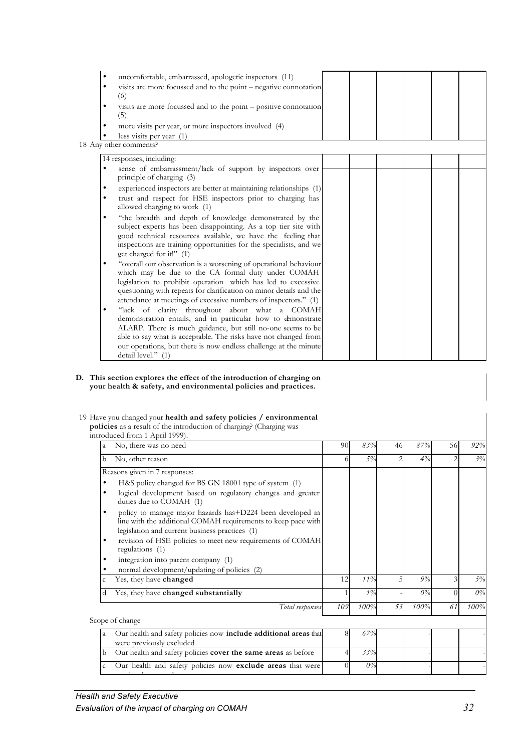| uncomfortable, embarrassed, apologetic inspectors (11)<br>$\bullet$                                                                                                                                                                                                                                                                                    |  |  |  |
|--------------------------------------------------------------------------------------------------------------------------------------------------------------------------------------------------------------------------------------------------------------------------------------------------------------------------------------------------------|--|--|--|
| visits are more focussed and to the point - negative connotation<br>$\bullet$                                                                                                                                                                                                                                                                          |  |  |  |
| (6)                                                                                                                                                                                                                                                                                                                                                    |  |  |  |
| visits are more focussed and to the point – positive connotation                                                                                                                                                                                                                                                                                       |  |  |  |
| (5)                                                                                                                                                                                                                                                                                                                                                    |  |  |  |
| more visits per year, or more inspectors involved (4)                                                                                                                                                                                                                                                                                                  |  |  |  |
| less visits per year (1)                                                                                                                                                                                                                                                                                                                               |  |  |  |
| 18 Any other comments?                                                                                                                                                                                                                                                                                                                                 |  |  |  |
| 14 responses, including:                                                                                                                                                                                                                                                                                                                               |  |  |  |
| sense of embarrassment/lack of support by inspectors over<br>$\bullet$                                                                                                                                                                                                                                                                                 |  |  |  |
| principle of charging (3)                                                                                                                                                                                                                                                                                                                              |  |  |  |
| experienced inspectors are better at maintaining relationships (1)<br>٠                                                                                                                                                                                                                                                                                |  |  |  |
| trust and respect for HSE inspectors prior to charging has<br>٠<br>allowed charging to work (1)                                                                                                                                                                                                                                                        |  |  |  |
| "the breadth and depth of knowledge demonstrated by the<br>subject experts has been disappointing. As a top tier site with<br>good technical resources available, we have the feeling that<br>inspections are training opportunities for the specialists, and we<br>get charged for it!" (1)                                                           |  |  |  |
| "overall our observation is a worsening of operational behaviour<br>which may be due to the CA formal duty under COMAH<br>legislation to prohibit operation which has led to excessive<br>questioning with repeats for clarification on minor details and the<br>attendance at meetings of excessive numbers of inspectors." (1)                       |  |  |  |
| "lack of clarity throughout about what a COMAH<br>$\bullet$<br>demonstration entails, and in particular how to demonstrate<br>ALARP. There is much guidance, but still no-one seems to be<br>able to say what is acceptable. The risks have not changed from<br>our operations, but there is now endless challenge at the minute<br>detail level." (1) |  |  |  |

- **D. This section explores the effect of the introduction of charging on your health & safety, and environmental policies and practices.**
- 19 Have you changed your **health and safety policies / environmental**

| policies as a result of the introduction of charging? (Charging was |
|---------------------------------------------------------------------|
| introduced from 1 April 1999).                                      |

| a            | No, there was no need                                                                                                                                                        | 90         | 83%   | 46             | 87%   | 56 | 92%  |
|--------------|------------------------------------------------------------------------------------------------------------------------------------------------------------------------------|------------|-------|----------------|-------|----|------|
| b            | No, other reason                                                                                                                                                             | $^{\circ}$ | 5%    | $\overline{c}$ | $4\%$ |    | 3%   |
|              | Reasons given in 7 responses:                                                                                                                                                |            |       |                |       |    |      |
| ٠            | H&S policy changed for BS GN 18001 type of system (1)                                                                                                                        |            |       |                |       |    |      |
| ٠            | logical development based on regulatory changes and greater<br>duties due to COMAH (1)                                                                                       |            |       |                |       |    |      |
| ٠            | policy to manage major hazards has+D224 been developed in<br>line with the additional COMAH requirements to keep pace with<br>legislation and current business practices (1) |            |       |                |       |    |      |
| ٠            | revision of HSE policies to meet new requirements of COMAH<br>regulations (1)                                                                                                |            |       |                |       |    |      |
| ٠            | integration into parent company (1)                                                                                                                                          |            |       |                |       |    |      |
|              | normal development/updating of policies (2)                                                                                                                                  |            |       |                |       |    |      |
| $\mathsf{C}$ | Yes, they have changed                                                                                                                                                       | 12         | 11%   | 5              | 9%    |    | 5%   |
|              | Yes, they have changed substantially                                                                                                                                         |            | $1\%$ |                | $0\%$ |    | 0%   |
|              | Total responses                                                                                                                                                              | 109        | 100%  | 53             | 100%  | 61 | 100% |
|              | Scope of change                                                                                                                                                              |            |       |                |       |    |      |
| a            | Our health and safety policies now include additional areas that                                                                                                             | 8          | 67%   |                |       |    |      |

| Our health and safety policies now include additional areas that | 67% |  |  |
|------------------------------------------------------------------|-----|--|--|
| were previously excluded                                         |     |  |  |
| Our health and safety policies cover the same areas as before    | 33% |  |  |
| Our health and safety policies now exclude areas that were       |     |  |  |
|                                                                  |     |  |  |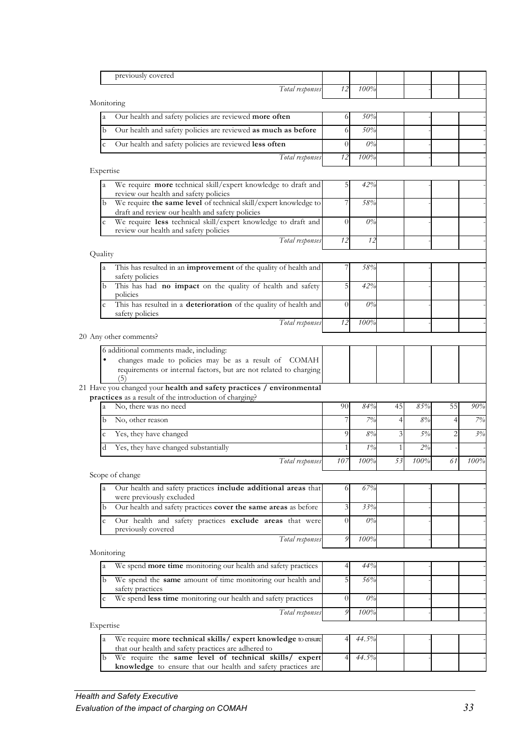|              | previously covered                                                                                                               |                |           |                      |      |                |      |
|--------------|----------------------------------------------------------------------------------------------------------------------------------|----------------|-----------|----------------------|------|----------------|------|
|              | Total responses                                                                                                                  | 12             | 100%      |                      |      |                |      |
| Monitoring   |                                                                                                                                  |                |           |                      |      |                |      |
| $\mathbf{a}$ | Our health and safety policies are reviewed more often                                                                           | 6              | 50%       |                      |      |                |      |
| b            | Our health and safety policies are reviewed as much as before                                                                    | 6              | 50%       |                      |      |                |      |
| $\mathsf{C}$ | Our health and safety policies are reviewed less often                                                                           | $\theta$       | 0%        |                      |      |                |      |
|              | Total responses                                                                                                                  | 12             | 100%      |                      |      |                |      |
| Expertise    |                                                                                                                                  |                |           |                      |      |                |      |
| a            | We require more technical skill/expert knowledge to draft and<br>review our health and safety policies                           | 5              | 42%       |                      |      |                |      |
| b            | We require the same level of technical skill/expert knowledge to<br>draft and review our health and safety policies              |                | 58%       |                      |      |                |      |
| $\mathsf{C}$ | We require less technical skill/expert knowledge to draft and<br>review our health and safety policies                           | $\theta$       | 0%        |                      |      |                |      |
| Quality      | Total responses                                                                                                                  | 12             | 12        |                      |      |                |      |
| $\rm{a}$     | This has resulted in an improvement of the quality of health and<br>safety policies                                              |                | 58%       |                      |      |                |      |
| b            | This has had no impact on the quality of health and safety<br>policies                                                           | 5              | 42%       |                      |      |                |      |
|              | This has resulted in a deterioration of the quality of health and<br>safety policies                                             | $\overline{0}$ | 0%        |                      |      |                |      |
|              | Total responses                                                                                                                  | 12             | 100%      |                      |      |                |      |
|              | 20 Any other comments?                                                                                                           |                |           |                      |      |                |      |
|              | 6 additional comments made, including:                                                                                           |                |           |                      |      |                |      |
| $\bullet$    | changes made to policies may be as a result of COMAH<br>requirements or internal factors, but are not related to charging<br>(5) |                |           |                      |      |                |      |
|              | 21 Have you changed your health and safety practices / environmental                                                             |                |           |                      |      |                |      |
|              | practices as a result of the introduction of charging?                                                                           |                |           |                      |      | 55             |      |
| a            | No, there was no need                                                                                                            | 90             | 84%<br>7% | 45<br>$\overline{4}$ | 85%  | $\overline{4}$ | 90%  |
| b            | No, other reason                                                                                                                 |                |           |                      | 8%   |                | 7%   |
| $\mathsf{C}$ | Yes, they have changed                                                                                                           | 9              | 8%        | 3                    | 5%   | $\overline{c}$ | 3%   |
| d            | Yes, they have changed substantially                                                                                             |                | 1%        |                      | 2%   |                |      |
|              | Total responses                                                                                                                  | 107            | 100%      | 53                   | 100% | 61             | 100% |
|              | Scope of change                                                                                                                  |                |           |                      |      |                |      |
| $\mathbf{a}$ | Our health and safety practices include additional areas that<br>were previously excluded                                        | 6              | 67%       |                      |      |                |      |
| b            | Our health and safety practices cover the same areas as before                                                                   | 3              | 33%       |                      |      |                |      |
| $\mathsf{C}$ | Our health and safety practices exclude areas that were<br>previously covered                                                    | $\theta$       | 0%        |                      |      |                |      |
|              | Total responses                                                                                                                  | 9              | 100%      |                      |      |                |      |
| Monitoring   |                                                                                                                                  |                |           |                      |      |                |      |
| $\mathbf{a}$ | We spend more time monitoring our health and safety practices                                                                    | 4              | 44%       |                      |      |                |      |
| b            | We spend the same amount of time monitoring our health and<br>safety practices                                                   | 5              | 56%       |                      |      |                |      |
| $\mathsf{C}$ | We spend less time monitoring our health and safety practices                                                                    | 0              | 0%        |                      |      |                |      |
|              | Total responses                                                                                                                  | 9              | 100%      |                      |      |                |      |
| Expertise    |                                                                                                                                  |                |           |                      |      |                |      |
| a            | We require more technical skills/expert knowledge to ensure<br>that our health and safety practices are adhered to               | 4              | 44.5%     |                      |      |                |      |
| b            | We require the same level of technical skills/ expert<br>knowledge to ensure that our health and safety practices are            | 4              | 44.5%     |                      |      |                |      |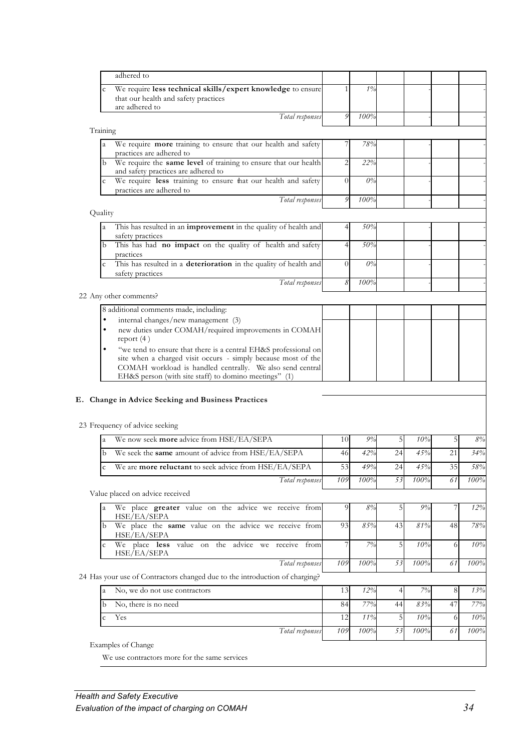|              | adhered to                                                                                                         |          |       |    |      |    |      |
|--------------|--------------------------------------------------------------------------------------------------------------------|----------|-------|----|------|----|------|
| c            | We require less technical skills/expert knowledge to ensure<br>that our health and safety practices                | 1        | $1\%$ |    |      |    |      |
|              | are adhered to<br>Total responses                                                                                  | 9        | 100%  |    |      |    |      |
| Training     |                                                                                                                    |          |       |    |      |    |      |
| a            | We require more training to ensure that our health and safety                                                      |          | 78%   |    |      |    |      |
|              | practices are adhered to                                                                                           |          |       |    |      |    |      |
| b            | We require the same level of training to ensure that our health<br>and safety practices are adhered to             | 2        | 22%   |    |      |    |      |
| c            | We require less training to ensure that our health and safety<br>practices are adhered to                          | $\Omega$ | $0\%$ |    |      |    |      |
|              | Total responses                                                                                                    | 9        | 100%  |    |      |    |      |
| Quality      |                                                                                                                    |          |       |    |      |    |      |
| a            | This has resulted in an improvement in the quality of health and<br>safety practices                               |          | 50%   |    |      |    |      |
| b            | This has had no impact on the quality of health and safety<br>practices                                            | 4        | 50%   |    |      |    |      |
| $\mathbf{C}$ | This has resulted in a deterioration in the quality of health and<br>safety practices                              | 0        | $0\%$ |    |      |    |      |
|              | Total responses                                                                                                    | 8        | 100%  |    |      |    |      |
|              | 22 Any other comments?                                                                                             |          |       |    |      |    |      |
|              | 8 additional comments made, including:                                                                             |          |       |    |      |    |      |
| ٠            | internal changes/new management (3)<br>new duties under COMAH/required improvements in COMAH                       |          |       |    |      |    |      |
|              | report $(4)$                                                                                                       |          |       |    |      |    |      |
|              | "we tend to ensure that there is a central EH&S professional on                                                    |          |       |    |      |    |      |
| $\bullet$    | site when a charged visit occurs - simply because most of the                                                      |          |       |    |      |    |      |
|              | COMAH workload is handled centrally. We also send central<br>EH&S person (with site staff) to domino meetings" (1) |          |       |    |      |    |      |
|              | E. Change in Advice Seeking and Business Practices                                                                 |          |       |    |      |    |      |
|              | 23 Frequency of advice seeking                                                                                     |          |       |    |      |    |      |
| a            | We now seek more advice from HSE/EA/SEPA                                                                           | 10       | 9%    | 5  | 10%  | 5  | 8%   |
| b            | We seek the same amount of advice from HSE/EA/SEPA                                                                 | 46       | 42%   | 24 | 45%  | 21 | 34%  |
| c            | We are more reluctant to seek advice from HSE/EA/SEPA                                                              | 53       | 49%   | 24 | 45%  | 35 | 58%  |
|              | Total responses                                                                                                    | 109      | 100%  | 53 | 100% | 61 | 100% |
|              | Value placed on advice received                                                                                    |          |       |    |      |    |      |
| а            | We place greater value on the advice we receive from                                                               | 9        | $8\%$ | 5  | 9%   |    | 12%  |
| b            | HSE/EA/SEPA<br>We place the same value on the advice we receive from                                               | 93       | 85%   | 43 | 81%  | 48 | 78%  |
| c            | HSE/EA/SEPA<br>We place less value on the advice we receive from                                                   |          | 7%    | 5  | 10%  | 6  | 10%  |
|              | HSE/EA/SEPA<br>Total responses                                                                                     | 109      | 100%  | 53 | 100% | 61 | 100% |
|              | 24 Has your use of Contractors changed due to the introduction of charging?                                        |          |       |    |      |    |      |
| $\it a$      | No, we do not use contractors                                                                                      | 13       | 12%   | 4  | 7%   | 8  | 13%  |
| b            | No, there is no need                                                                                               | 84       | 77%   | 44 | 83%  | 47 | 77%  |
| $\mathsf{C}$ | Yes                                                                                                                | 12       | 11%   | 5  | 10%  | 6  | 10%  |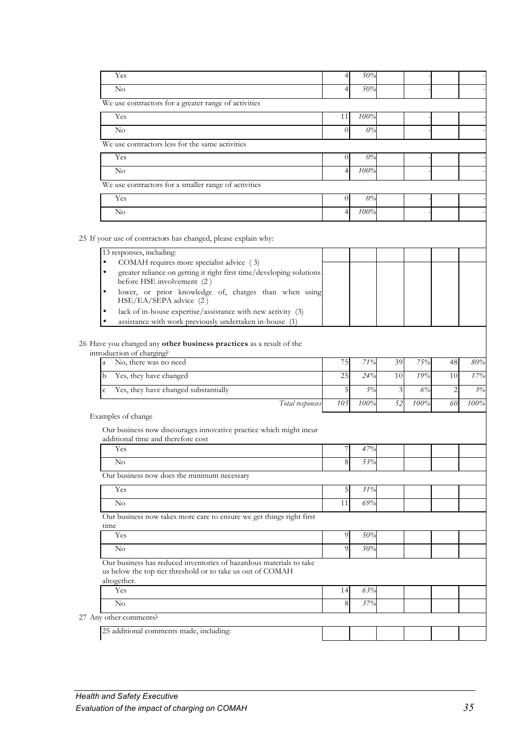| Yes                                                                                                                                              |                | 50%        |          |            |          |            |
|--------------------------------------------------------------------------------------------------------------------------------------------------|----------------|------------|----------|------------|----------|------------|
| $\rm No$                                                                                                                                         | $\overline{4}$ | 50%        |          |            |          |            |
| We use contractors for a greater range of activities                                                                                             |                |            |          |            |          |            |
| Yes                                                                                                                                              | 11             | 100%       |          |            |          |            |
| $\rm No$                                                                                                                                         | $\Omega$       | 0%         |          |            |          |            |
| We use contractors less for the same activities                                                                                                  |                |            |          |            |          |            |
| Yes                                                                                                                                              | $\Omega$       | 0%         |          |            |          |            |
| No                                                                                                                                               | 4              | 100%       |          |            |          |            |
| We use contractors for a smaller range of activities                                                                                             |                |            |          |            |          |            |
| Yes                                                                                                                                              | $\Omega$       | $0\%$      |          |            |          |            |
| $\rm No$                                                                                                                                         | 4              | 100%       |          |            |          |            |
| 25 If your use of contractors has changed, please explain why:                                                                                   |                |            |          |            |          |            |
| 13 responses, including:                                                                                                                         |                |            |          |            |          |            |
| COMAH requires more specialist advice (3)<br>$\bullet$                                                                                           |                |            |          |            |          |            |
| greater reliance on getting it right first time/developing solutions<br>$\bullet$<br>before HSE involvement (2)                                  |                |            |          |            |          |            |
| lower, or prior knowledge of, charges than when using<br>٠<br>HSE/EA/SEPA advice (2)                                                             |                |            |          |            |          |            |
| lack of in-house expertise/assistance with new activity (3)<br>$\bullet$                                                                         |                |            |          |            |          |            |
| assistance with work previously undertaken in-house (1)                                                                                          |                |            |          |            |          |            |
| No, there was no need<br>$\mathfrak{a}$<br>Yes, they have changed<br>b                                                                           | 75<br>25       | 71%<br>24% | 39<br>10 | 75%<br>19% | 48<br>10 | 80%<br>17% |
| Yes, they have changed substantially<br>$\mathsf{C}$                                                                                             | 5              | 5%         | 3        | 6%         | 2        | 3%         |
| Total responses                                                                                                                                  | 105            | 100%       | 52       | 100%       | 60       | 100%       |
| Examples of change                                                                                                                               |                |            |          |            |          |            |
| Our business now discourages innovative practice which might incur<br>additional time and therefore cost                                         |                |            |          |            |          |            |
| Yes                                                                                                                                              |                | 47%        |          |            |          |            |
| $\rm No$                                                                                                                                         | 8              | 53%        |          |            |          |            |
| Our business now does the minimum necessary                                                                                                      |                |            |          |            |          |            |
| Yes                                                                                                                                              | 5              | 31%        |          |            |          |            |
| No                                                                                                                                               | 11             | 69%        |          |            |          |            |
| Our business now takes more care to ensure we get things right first                                                                             |                |            |          |            |          |            |
| time<br>Yes                                                                                                                                      | 9              | 50%        |          |            |          |            |
| No                                                                                                                                               | $\Omega$       | 50%        |          |            |          |            |
|                                                                                                                                                  |                |            |          |            |          |            |
| Our business has reduced inventories of hazardous materials to take<br>us below the top tier threshold or to take us out of COMAH<br>altogether. |                |            |          |            |          |            |
| Yes                                                                                                                                              | 14             | 63%        |          |            |          |            |
| No                                                                                                                                               | 8              | 37%        |          |            |          |            |
| 27 Any other comments?                                                                                                                           |                |            |          |            |          |            |
| 25 additional comments made, including:                                                                                                          |                |            |          |            |          |            |
|                                                                                                                                                  |                |            |          |            |          |            |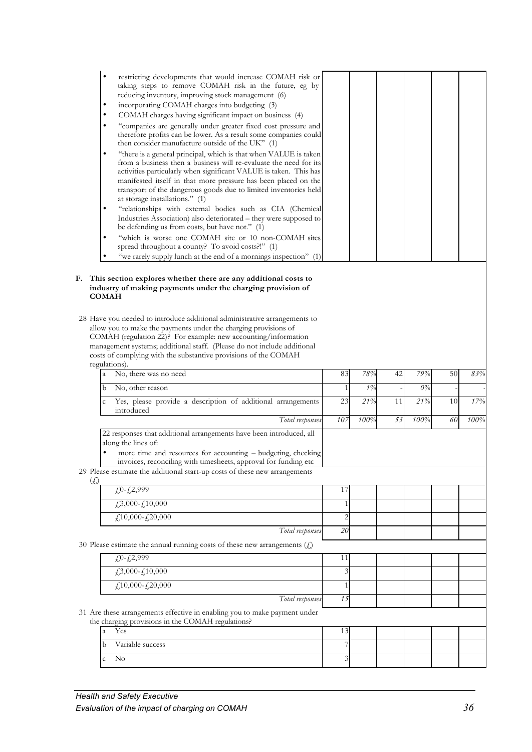| $\bullet$<br>$\bullet$<br>٠ | restricting developments that would increase COMAH risk or<br>taking steps to remove COMAH risk in the future, eg by<br>reducing inventory, improving stock management (6)<br>incorporating COMAH charges into budgeting (3)<br>COMAH charges having significant impact on business (4)                                                                                            |              |             |          |             |          |             |
|-----------------------------|------------------------------------------------------------------------------------------------------------------------------------------------------------------------------------------------------------------------------------------------------------------------------------------------------------------------------------------------------------------------------------|--------------|-------------|----------|-------------|----------|-------------|
| ٠                           | "companies are generally under greater fixed cost pressure and<br>therefore profits can be lower. As a result some companies could<br>then consider manufacture outside of the UK" (1)                                                                                                                                                                                             |              |             |          |             |          |             |
| ٠                           | "there is a general principal, which is that when VALUE is taken<br>from a business then a business will re-evaluate the need for its<br>activities particularly when significant VALUE is taken. This has<br>manifested itself in that more pressure has been placed on the<br>transport of the dangerous goods due to limited inventories held<br>at storage installations." (1) |              |             |          |             |          |             |
| $\bullet$                   | "relationships with external bodies such as CIA (Chemical<br>Industries Association) also deteriorated - they were supposed to<br>be defending us from costs, but have not." (1)                                                                                                                                                                                                   |              |             |          |             |          |             |
| ٠                           | "which is worse one COMAH site or 10 non-COMAH sites<br>spread throughout a county? To avoid costs?!" (1)<br>"we rarely supply lunch at the end of a mornings inspection" (1)                                                                                                                                                                                                      |              |             |          |             |          |             |
| <b>COMAH</b>                | This section explores whether there are any additional costs to<br>industry of making payments under the charging provision of<br>28 Have you needed to introduce additional administrative arrangements to<br>allow you to make the payments under the charging provisions of<br>COMAH (regulation 22)? For example: new accounting/information                                   |              |             |          |             |          |             |
|                             | management systems; additional staff. (Please do not include additional<br>costs of complying with the substantive provisions of the COMAH                                                                                                                                                                                                                                         |              |             |          |             |          |             |
| regulations).               |                                                                                                                                                                                                                                                                                                                                                                                    |              |             |          |             |          |             |
| $\rm{a}$                    | No, there was no need                                                                                                                                                                                                                                                                                                                                                              | 83           | 78%         | 42       | 79%         | 50       | 83%         |
| b                           | No, other reason                                                                                                                                                                                                                                                                                                                                                                   | 1            | 1%          |          | $0\%$       |          |             |
| c                           | Yes, please provide a description of additional arrangements<br>introduced<br>Total responses                                                                                                                                                                                                                                                                                      | 23<br>107    | 21%<br>100% | 11<br>53 | 21%<br>100% | 10<br>60 | 17%<br>100% |
|                             | 22 responses that additional arrangements have been introduced, all<br>along the lines of:<br>more time and resources for accounting - budgeting, checking<br>invoices, reconciling with timesheets, approval for funding etc<br>29 Please estimate the additional start-up costs of these new arrangements                                                                        |              |             |          |             |          |             |
| $\left(\frac{1}{2}\right)$  |                                                                                                                                                                                                                                                                                                                                                                                    |              |             |          |             |          |             |
|                             | $\sqrt{(0-\frac{1}{2})^2}$                                                                                                                                                                                                                                                                                                                                                         | 17           |             |          |             |          |             |
|                             | $\overline{f}$ ,3,000- $\overline{f}$ ,10,000                                                                                                                                                                                                                                                                                                                                      | $\mathbf{1}$ |             |          |             |          |             |
|                             | $f(10,000-f(20,000$                                                                                                                                                                                                                                                                                                                                                                | 2            |             |          |             |          |             |
|                             | Total responses                                                                                                                                                                                                                                                                                                                                                                    | 20           |             |          |             |          |             |
|                             | 30 Please estimate the annual running costs of these new arrangements $(f)$                                                                                                                                                                                                                                                                                                        |              |             |          |             |          |             |
|                             | £0-£2,999                                                                                                                                                                                                                                                                                                                                                                          | 11           |             |          |             |          |             |
|                             | £3,000-£10,000                                                                                                                                                                                                                                                                                                                                                                     | 3            |             |          |             |          |             |
|                             | $f_{1}10,000-f_{1}20,000$                                                                                                                                                                                                                                                                                                                                                          | 1            |             |          |             |          |             |
|                             | Total responses                                                                                                                                                                                                                                                                                                                                                                    | 15           |             |          |             |          |             |
|                             | 31 Are these arrangements effective in enabling you to make payment under                                                                                                                                                                                                                                                                                                          |              |             |          |             |          |             |
| $\it a$                     | the charging provisions in the COMAH regulations?<br>Yes                                                                                                                                                                                                                                                                                                                           | 13           |             |          |             |          |             |
| b                           | Variable success                                                                                                                                                                                                                                                                                                                                                                   | 7            |             |          |             |          |             |
| $\mathsf c$                 | $\rm No$                                                                                                                                                                                                                                                                                                                                                                           | 3            |             |          |             |          |             |
|                             |                                                                                                                                                                                                                                                                                                                                                                                    |              |             |          |             |          |             |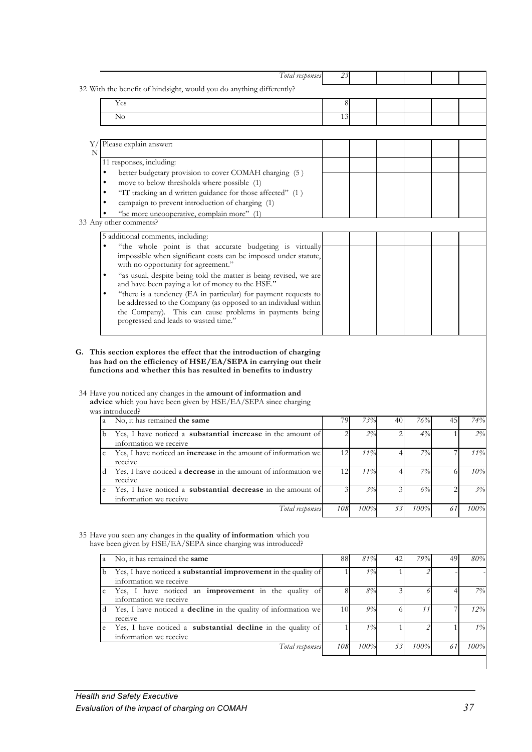| Total responses                                                                                                                                                                                                                                                                | 23             |       |                |                             |                |        |
|--------------------------------------------------------------------------------------------------------------------------------------------------------------------------------------------------------------------------------------------------------------------------------|----------------|-------|----------------|-----------------------------|----------------|--------|
| 32 With the benefit of hindsight, would you do anything differently?                                                                                                                                                                                                           |                |       |                |                             |                |        |
| Yes                                                                                                                                                                                                                                                                            | 8              |       |                |                             |                |        |
| No                                                                                                                                                                                                                                                                             | 13             |       |                |                             |                |        |
|                                                                                                                                                                                                                                                                                |                |       |                |                             |                |        |
| Please explain answer:<br>Y/<br>N                                                                                                                                                                                                                                              |                |       |                |                             |                |        |
| 11 responses, including:                                                                                                                                                                                                                                                       |                |       |                |                             |                |        |
| better budgetary provision to cover COMAH charging (5)<br>$\bullet$                                                                                                                                                                                                            |                |       |                |                             |                |        |
| move to below thresholds where possible (1)<br>$\bullet$<br>"IT tracking an d written guidance for those affected" (1)<br>٠                                                                                                                                                    |                |       |                |                             |                |        |
| campaign to prevent introduction of charging (1)<br>٠                                                                                                                                                                                                                          |                |       |                |                             |                |        |
| "be more uncooperative, complain more" (1)                                                                                                                                                                                                                                     |                |       |                |                             |                |        |
| 33 Any other comments?                                                                                                                                                                                                                                                         |                |       |                |                             |                |        |
| 5 additional comments, including:                                                                                                                                                                                                                                              |                |       |                |                             |                |        |
| "the whole point is that accurate budgeting is virtually<br>٠<br>impossible when significant costs can be imposed under statute,                                                                                                                                               |                |       |                |                             |                |        |
| with no opportunity for agreement."                                                                                                                                                                                                                                            |                |       |                |                             |                |        |
| "as usual, despite being told the matter is being revised, we are<br>$\bullet$                                                                                                                                                                                                 |                |       |                |                             |                |        |
| and have been paying a lot of money to the HSE."                                                                                                                                                                                                                               |                |       |                |                             |                |        |
| "there is a tendency (EA in particular) for payment requests to<br>$\bullet$<br>be addressed to the Company (as opposed to an individual within                                                                                                                                |                |       |                |                             |                |        |
| the Company). This can cause problems in payments being                                                                                                                                                                                                                        |                |       |                |                             |                |        |
| progressed and leads to wasted time."                                                                                                                                                                                                                                          |                |       |                |                             |                |        |
| G. This section explores the effect that the introduction of charging<br>has had on the efficiency of HSE/EA/SEPA in carrying out their<br>functions and whether this has resulted in benefits to industry<br>34 Have you noticed any changes in the amount of information and |                |       |                |                             |                |        |
| advice which you have been given by HSE/EA/SEPA since charging<br>was introduced?                                                                                                                                                                                              |                |       |                |                             |                |        |
| No, it has remained the same<br>$\rm{a}$                                                                                                                                                                                                                                       | 79             | 73%   | 40             | 76%                         | 45             | 74%    |
| Yes, I have noticed a substantial increase in the amount of<br>b                                                                                                                                                                                                               | $\overline{2}$ | 2%    | 2              | 4%                          | 1              | 2%     |
| information we receive<br>Yes, I have noticed an <b>increase</b> in the amount of information we<br>C                                                                                                                                                                          | 12             | 11%   | 4              | 7%                          |                | 11%    |
| receive                                                                                                                                                                                                                                                                        |                |       |                |                             |                |        |
| Yes, I have noticed a <b>decrease</b> in the amount of information we<br>d<br>receive                                                                                                                                                                                          | 12             | 11%   | 4              | 7%                          | 6              | 10%    |
| Yes, I have noticed a substantial decrease in the amount of<br>e                                                                                                                                                                                                               | 3              | 3%    | 3              | $6\%$                       | $\overline{2}$ | 3%     |
| information we receive<br>Total responses                                                                                                                                                                                                                                      | 108            | 100%  | 53             | 100%                        | 61             | 100%   |
| 35 Have you seen any changes in the quality of information which you<br>have been given by HSE/EA/SEPA since charging was introduced?                                                                                                                                          |                |       |                |                             |                |        |
| No, it has remained the same<br>a                                                                                                                                                                                                                                              | 88             | 81%   | 42             | 79%                         | 49             |        |
| Yes, I have noticed a substantial improvement in the quality of<br>b                                                                                                                                                                                                           | 1              | 1%    |                |                             |                | $80\%$ |
| information we receive<br>Yes, I have noticed an improvement in the quality of<br>$\mathbf{C}$                                                                                                                                                                                 | 8              | 8%    | $\overline{3}$ | 6                           | $\overline{4}$ | 7%     |
| information we receive<br>Yes, I have noticed a <b>decline</b> in the quality of information we<br>d                                                                                                                                                                           | 10             | $9\%$ | 6              | 11                          |                | 12%    |
| receive<br>Yes, I have noticed a substantial decline in the quality of<br>e                                                                                                                                                                                                    | $\mathbf{1}$   | 1%    | 1              | $\mathcal{L}_{\mathcal{L}}$ | 1              | $1\%$  |
| information we receive<br>Total responses                                                                                                                                                                                                                                      | 108            | 100%  | 53             | 100%                        | 61             | 100%   |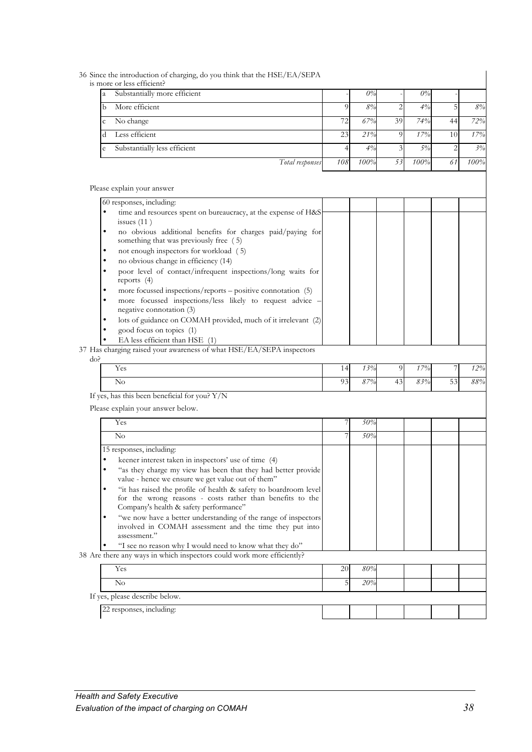| $\mathbf{a}$ | Substantially more efficient                                                                                                                                            |                | 0%   |                | $0\%$ |                |      |
|--------------|-------------------------------------------------------------------------------------------------------------------------------------------------------------------------|----------------|------|----------------|-------|----------------|------|
| b            | More efficient                                                                                                                                                          | 9              | 8%   | $\overline{c}$ | $4\%$ | 5              | 8%   |
| $\mathsf{C}$ | No change                                                                                                                                                               | 72             | 67%  | 39             | 74%   | 44             | 72%  |
| d            | Less efficient                                                                                                                                                          | 23             | 21%  | 9              | 17%   | 10             | 17%  |
| e            | Substantially less efficient                                                                                                                                            | $\overline{4}$ | 4%   | 3              | 5%    | $\overline{c}$ | 3%   |
|              | Total responses                                                                                                                                                         | 108            | 100% | 53             | 100%  | 61             | 100% |
|              |                                                                                                                                                                         |                |      |                |       |                |      |
|              | Please explain your answer                                                                                                                                              |                |      |                |       |                |      |
|              | 60 responses, including:                                                                                                                                                |                |      |                |       |                |      |
|              | time and resources spent on bureaucracy, at the expense of H&S<br>issues $(11)$                                                                                         |                |      |                |       |                |      |
| ٠            | no obvious additional benefits for charges paid/paying for<br>something that was previously free (5)                                                                    |                |      |                |       |                |      |
| ٠            | not enough inspectors for workload (5)<br>no obvious change in efficiency (14)                                                                                          |                |      |                |       |                |      |
|              | poor level of contact/infrequent inspections/long waits for<br>reports (4)                                                                                              |                |      |                |       |                |      |
|              | more focussed inspections/reports – positive connotation (5)<br>more focussed inspections/less likely to request advice -<br>negative connotation (3)                   |                |      |                |       |                |      |
|              | lots of guidance on COMAH provided, much of it irrelevant (2)                                                                                                           |                |      |                |       |                |      |
|              | good focus on topics (1)                                                                                                                                                |                |      |                |       |                |      |
|              | EA less efficient than HSE (1)                                                                                                                                          |                |      |                |       |                |      |
|              |                                                                                                                                                                         |                |      |                |       |                |      |
| do?          | 37 Has charging raised your awareness of what HSE/EA/SEPA inspectors                                                                                                    |                |      |                |       |                |      |
|              | Yes                                                                                                                                                                     | 14             | 13%  | 9              | 17%   | 7              | 12%  |
|              | $\rm No$                                                                                                                                                                | 93             | 87%  | 43             | 83%   | 53             |      |
|              | If yes, has this been beneficial for you? Y/N                                                                                                                           |                |      |                |       |                |      |
|              | Please explain your answer below.                                                                                                                                       |                |      |                |       |                | 88%  |
|              | Yes                                                                                                                                                                     | 7              | 50%  |                |       |                |      |
|              | No                                                                                                                                                                      |                | 50%  |                |       |                |      |
|              | 15 responses, including:                                                                                                                                                |                |      |                |       |                |      |
|              | keener interest taken in inspectors' use of time (4)                                                                                                                    |                |      |                |       |                |      |
|              | "as they charge my view has been that they had better provide<br>value - hence we ensure we get value out of them"                                                      |                |      |                |       |                |      |
| $\bullet$    | "it has raised the profile of health & safety to boardroom level<br>for the wrong reasons - costs rather than benefits to the<br>Company's health & safety performance" |                |      |                |       |                |      |
|              | "we now have a better understanding of the range of inspectors<br>involved in COMAH assessment and the time they put into<br>assessment."                               |                |      |                |       |                |      |
|              | "I see no reason why I would need to know what they do"                                                                                                                 |                |      |                |       |                |      |
|              | 38 Are there any ways in which inspectors could work more efficiently?                                                                                                  |                |      |                |       |                |      |
|              | Yes                                                                                                                                                                     | 20             | 80%  |                |       |                |      |
|              | $\rm No$                                                                                                                                                                | 5              | 20%  |                |       |                |      |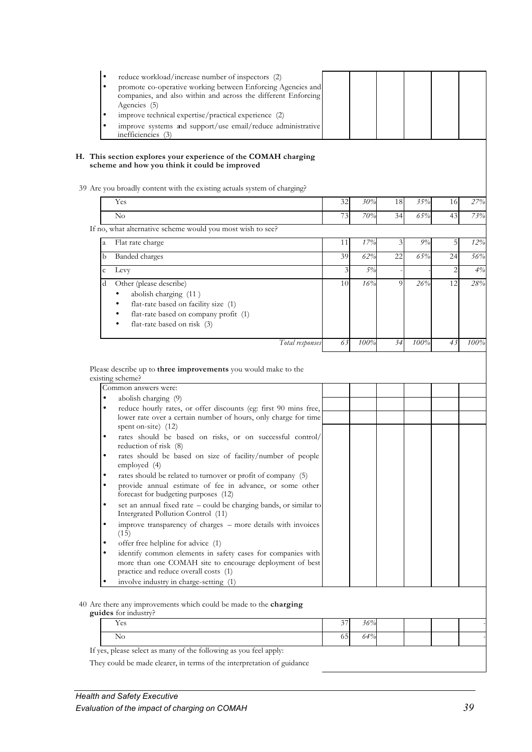| $\bullet$ | reduce workload/increase number of inspectors (2)                                                                                                          |    |        |    |      |    |      |
|-----------|------------------------------------------------------------------------------------------------------------------------------------------------------------|----|--------|----|------|----|------|
| $\bullet$ | promote co-operative working between Enforcing Agencies and                                                                                                |    |        |    |      |    |      |
|           | companies, and also within and across the different Enforcing                                                                                              |    |        |    |      |    |      |
|           | Agencies (5)                                                                                                                                               |    |        |    |      |    |      |
| ٠         | improve technical expertise/practical experience (2)                                                                                                       |    |        |    |      |    |      |
|           | improve systems and support/use email/reduce administrative<br>inefficiencies (3)                                                                          |    |        |    |      |    |      |
|           | H. This section explores your experience of the COMAH charging<br>scheme and how you think it could be improved                                            |    |        |    |      |    |      |
|           | 39 Are you broadly content with the existing actuals system of charging?                                                                                   |    |        |    |      |    |      |
|           | Yes                                                                                                                                                        | 32 | $30\%$ | 18 | 35%  | 16 | 27%  |
|           | $\rm No$                                                                                                                                                   | 73 | 70%    | 34 | 65%  | 43 | 73%  |
|           | If no, what alternative scheme would you most wish to see?                                                                                                 |    |        |    |      |    |      |
| $\it a$   | Flat rate charge                                                                                                                                           | 11 | 17%    | 3  | 9%   | 5  | 12%  |
| b         | <b>Banded</b> charges                                                                                                                                      | 39 | 62%    | 22 | 65%  | 24 | 56%  |
| c         | Levy                                                                                                                                                       | 3  | 5%     |    |      | 2  | 4%   |
| d         | Other (please describe)                                                                                                                                    | 10 | 16%    | 0  | 26%  | 12 | 28%  |
|           | abolish charging (11)                                                                                                                                      |    |        |    |      |    |      |
|           | flat-rate based on facility size (1)                                                                                                                       |    |        |    |      |    |      |
|           | flat-rate based on company profit (1)<br>٠                                                                                                                 |    |        |    |      |    |      |
|           | flat-rate based on risk (3)<br>$\bullet$                                                                                                                   |    |        |    |      |    |      |
|           | Total responses                                                                                                                                            | 63 | 100%   | 34 | 100% | 43 | 100% |
|           | Please describe up to three improvements you would make to the                                                                                             |    |        |    |      |    |      |
|           | existing scheme?                                                                                                                                           |    |        |    |      |    |      |
|           | Common answers were:                                                                                                                                       |    |        |    |      |    |      |
| $\bullet$ | abolish charging (9)                                                                                                                                       |    |        |    |      |    |      |
| $\bullet$ | reduce hourly rates, or offer discounts (eg: first 90 mins free,<br>lower rate over a certain number of hours, only charge for time<br>spent on-site) (12) |    |        |    |      |    |      |
| ۰         | rates should be based on risks, or on successful control/                                                                                                  |    |        |    |      |    |      |
| ٠         | reduction of risk (8)<br>rates should be based on size of facility/number of people<br>employed (4)                                                        |    |        |    |      |    |      |
| ٠         | rates should be related to turnover or profit of company (5)                                                                                               |    |        |    |      |    |      |
| ٠         | provide annual estimate of fee in advance, or some other<br>forecast for budgeting purposes (12)                                                           |    |        |    |      |    |      |
| $\bullet$ | set an annual fixed rate - could be charging bands, or similar to<br>Intergrated Pollution Control (11)                                                    |    |        |    |      |    |      |
| ٠         | improve transparency of charges – more details with invoices<br>(15)                                                                                       |    |        |    |      |    |      |
|           | offer free helpline for advice (1)                                                                                                                         |    |        |    |      |    |      |
| $\bullet$ | identify common elements in safety cases for companies with<br>more than one COMAH site to encourage deployment of best                                    |    |        |    |      |    |      |
|           | practice and reduce overall costs (1)                                                                                                                      |    |        |    |      |    |      |
|           | involve industry in charge-setting (1)                                                                                                                     |    |        |    |      |    |      |
|           | 40 Are there any improvements which could be made to the charging                                                                                          |    |        |    |      |    |      |
|           | guides for industry?<br>Yes                                                                                                                                | 37 | 36%    |    |      |    |      |
|           | No                                                                                                                                                         | 65 | 64%    |    |      |    |      |
|           |                                                                                                                                                            |    |        |    |      |    |      |
|           | If yes, please select as many of the following as you feel apply:                                                                                          |    |        |    |      |    |      |

They could be made clearer, in terms of the interpretation of guidance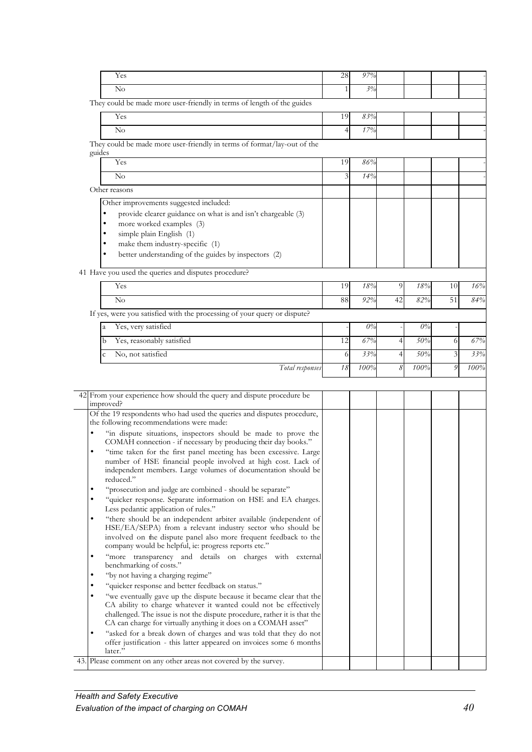|           | Yes                                                                                                                                           | 28             | 97%  |    |       |    |      |
|-----------|-----------------------------------------------------------------------------------------------------------------------------------------------|----------------|------|----|-------|----|------|
|           | $\rm No$                                                                                                                                      | 1              | 3%   |    |       |    |      |
|           | They could be made more user-friendly in terms of length of the guides                                                                        |                |      |    |       |    |      |
|           | Yes                                                                                                                                           | 19             | 83%  |    |       |    |      |
|           | $\rm No$                                                                                                                                      | $\overline{4}$ | 17%  |    |       |    |      |
|           |                                                                                                                                               |                |      |    |       |    |      |
| guides    | They could be made more user-friendly in terms of format/lay-out of the                                                                       |                |      |    |       |    |      |
|           | Yes                                                                                                                                           | 19             | 86%  |    |       |    |      |
|           | $\rm No$                                                                                                                                      | 3              | 14%  |    |       |    |      |
|           | Other reasons                                                                                                                                 |                |      |    |       |    |      |
|           |                                                                                                                                               |                |      |    |       |    |      |
|           | Other improvements suggested included:<br>provide clearer guidance on what is and isn't chargeable (3)                                        |                |      |    |       |    |      |
|           | more worked examples (3)<br>٠                                                                                                                 |                |      |    |       |    |      |
|           | simple plain English (1)                                                                                                                      |                |      |    |       |    |      |
|           | make them industry-specific (1)                                                                                                               |                |      |    |       |    |      |
|           | better understanding of the guides by inspectors (2)                                                                                          |                |      |    |       |    |      |
|           | 41 Have you used the queries and disputes procedure?                                                                                          |                |      |    |       |    |      |
|           | Yes                                                                                                                                           |                |      |    |       |    |      |
|           |                                                                                                                                               | 19             | 18%  | 9  | 18%   | 10 | 16%  |
|           | $\rm No$                                                                                                                                      | 88             | 92%  | 42 | 82%   | 51 | 84%  |
|           | If yes, were you satisfied with the processing of your query or dispute?                                                                      |                |      |    |       |    |      |
|           | Yes, very satisfied<br>а                                                                                                                      |                | 0%   |    | $0\%$ |    |      |
|           | Yes, reasonably satisfied<br>b                                                                                                                | 12             | 67%  | 4  | 50%   | 6  | 67%  |
|           | No, not satisfied<br>Ċ                                                                                                                        | 6              | 33%  | 4  | 50%   | 3  | 33%  |
|           | Total responses                                                                                                                               | 18             | 100% | 8  | 100%  | 9  | 100% |
|           |                                                                                                                                               |                |      |    |       |    |      |
|           |                                                                                                                                               |                |      |    |       |    |      |
|           | 42 From your experience how should the query and dispute procedure be<br>improved?                                                            |                |      |    |       |    |      |
|           | Of the 19 respondents who had used the queries and disputes procedure,                                                                        |                |      |    |       |    |      |
|           | the following recommendations were made:                                                                                                      |                |      |    |       |    |      |
|           | "in dispute situations, inspectors should be made to prove the<br>COMAH connection - if necessary by producing their day books."              |                |      |    |       |    |      |
|           | "time taken for the first panel meeting has been excessive. Large                                                                             |                |      |    |       |    |      |
|           | number of HSE financial people involved at high cost. Lack of<br>independent members. Large volumes of documentation should be<br>reduced."   |                |      |    |       |    |      |
|           | "prosecution and judge are combined - should be separate"                                                                                     |                |      |    |       |    |      |
|           | "quicker response. Separate information on HSE and EA charges.                                                                                |                |      |    |       |    |      |
|           | Less pedantic application of rules."                                                                                                          |                |      |    |       |    |      |
| $\bullet$ | "there should be an independent arbiter available (independent of<br>HSE/EA/SEPA) from a relevant industry sector who should be               |                |      |    |       |    |      |
|           | involved on the dispute panel also more frequent feedback to the<br>company would be helpful, ie: progress reports etc."                      |                |      |    |       |    |      |
| $\bullet$ | "more transparency and details on charges with external                                                                                       |                |      |    |       |    |      |
|           | benchmarking of costs."                                                                                                                       |                |      |    |       |    |      |
|           | "by not having a charging regime"<br>"quicker response and better feedback on status."                                                        |                |      |    |       |    |      |
|           | "we eventually gave up the dispute because it became clear that the                                                                           |                |      |    |       |    |      |
|           | CA ability to charge whatever it wanted could not be effectively<br>challenged. The issue is not the dispute procedure, rather it is that the |                |      |    |       |    |      |
|           | CA can charge for virtually anything it does on a COMAH asset"                                                                                |                |      |    |       |    |      |
|           | "asked for a break down of charges and was told that they do not<br>offer justification - this latter appeared on invoices some 6 months      |                |      |    |       |    |      |
|           | later."                                                                                                                                       |                |      |    |       |    |      |
|           | 43. Please comment on any other areas not covered by the survey.                                                                              |                |      |    |       |    |      |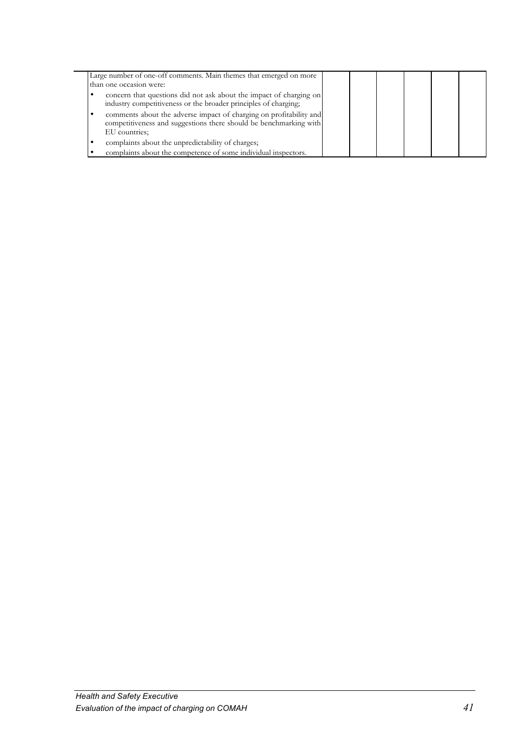| Large number of one-off comments. Main themes that emerged on more<br>than one occasion were:                                                            |  |  |  |
|----------------------------------------------------------------------------------------------------------------------------------------------------------|--|--|--|
| concern that questions did not ask about the impact of charging on<br>industry competitiveness or the broader principles of charging;                    |  |  |  |
| comments about the adverse impact of charging on profitability and<br>competitiveness and suggestions there should be benchmarking with<br>EU countries: |  |  |  |
| complaints about the unpredictability of charges;                                                                                                        |  |  |  |
| complaints about the competence of some individual inspectors.                                                                                           |  |  |  |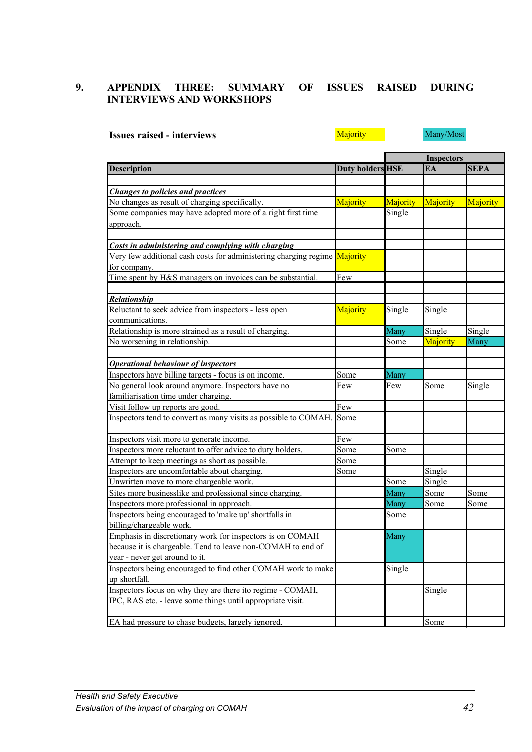## **9. APPENDIX THREE: SUMMARY OF ISSUES RAISED DURING INTERVIEWS AND WORKSHOPS**

| <b>Issues raised - interviews</b>                                                                       | Majority                |          | Many/Most         |                 |
|---------------------------------------------------------------------------------------------------------|-------------------------|----------|-------------------|-----------------|
|                                                                                                         |                         |          | <b>Inspectors</b> |                 |
| <b>Description</b>                                                                                      | <b>Duty holders HSE</b> |          | EA                | <b>SEPA</b>     |
|                                                                                                         |                         |          |                   |                 |
| <b>Changes to policies and practices</b>                                                                |                         |          |                   |                 |
| No changes as result of charging specifically.                                                          | Majority                | Majority | Majority          | <b>Majority</b> |
| Some companies may have adopted more of a right first time                                              |                         | Single   |                   |                 |
| approach.                                                                                               |                         |          |                   |                 |
| Costs in administering and complying with charging                                                      |                         |          |                   |                 |
| Very few additional cash costs for administering charging regime                                        | Majority                |          |                   |                 |
| for company.                                                                                            |                         |          |                   |                 |
| Time spent by H&S managers on invoices can be substantial.                                              | Few                     |          |                   |                 |
|                                                                                                         |                         |          |                   |                 |
| <b>Relationship</b>                                                                                     |                         |          |                   |                 |
| Reluctant to seek advice from inspectors - less open                                                    | Majority                | Single   | Single            |                 |
| communications.                                                                                         |                         |          |                   |                 |
| Relationship is more strained as a result of charging.                                                  |                         | Many     | Single            | Single          |
| No worsening in relationship.                                                                           |                         | Some     | Majority          | Many            |
| <b>Operational behaviour of inspectors</b>                                                              |                         |          |                   |                 |
| Inspectors have billing targets - focus is on income.                                                   | Some                    | Many     |                   |                 |
| No general look around anymore. Inspectors have no                                                      | Few                     | Few      | Some              | Single          |
| familiarisation time under charging.                                                                    |                         |          |                   |                 |
| Visit follow up reports are good.                                                                       | Few                     |          |                   |                 |
| Inspectors tend to convert as many visits as possible to COMAH.                                         | Some                    |          |                   |                 |
|                                                                                                         | Few                     |          |                   |                 |
| Inspectors visit more to generate income.<br>Inspectors more reluctant to offer advice to duty holders. | Some                    | Some     |                   |                 |
| Attempt to keep meetings as short as possible.                                                          | Some                    |          |                   |                 |
| Inspectors are uncomfortable about charging.                                                            | Some                    |          | Single            |                 |
| Unwritten move to more chargeable work.                                                                 |                         | Some     | Single            |                 |
| Sites more businesslike and professional since charging.                                                |                         | Many     | Some              | Some            |
| Inspectors more professional in approach                                                                |                         | Many     | Some              | Some            |
| Inspectors being encouraged to 'make up' shortfalls in                                                  |                         | Some     |                   |                 |
| billing/chargeable work                                                                                 |                         |          |                   |                 |
| Emphasis in discretionary work for inspectors is on COMAH                                               |                         | Many     |                   |                 |
| because it is chargeable. Tend to leave non-COMAH to end of                                             |                         |          |                   |                 |
| year - never get around to it.                                                                          |                         |          |                   |                 |
| Inspectors being encouraged to find other COMAH work to make                                            |                         | Single   |                   |                 |
| up shortfall.                                                                                           |                         |          |                   |                 |
| Inspectors focus on why they are there ito regime - COMAH,                                              |                         |          | Single            |                 |
| IPC, RAS etc. - leave some things until appropriate visit.                                              |                         |          |                   |                 |
| EA had pressure to chase budgets, largely ignored.                                                      |                         |          | Some              |                 |
|                                                                                                         |                         |          |                   |                 |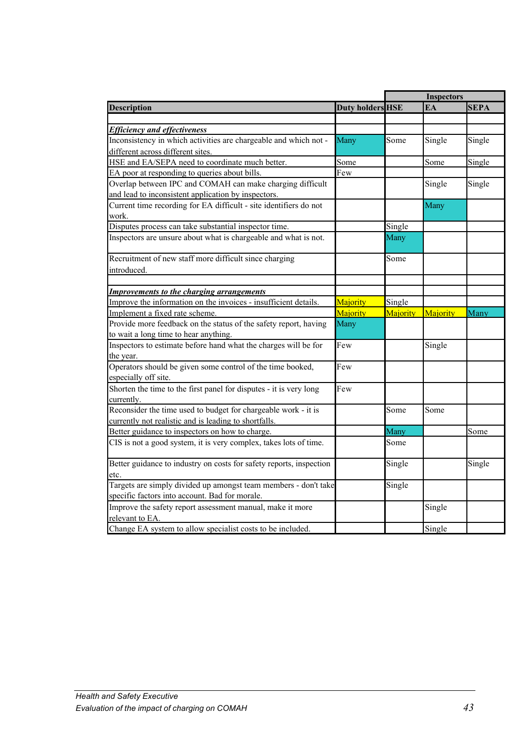|                                                                                  |                         | <b>Inspectors</b> |          |             |
|----------------------------------------------------------------------------------|-------------------------|-------------------|----------|-------------|
| <b>Description</b>                                                               | <b>Duty holders HSE</b> |                   | EA       | <b>SEPA</b> |
|                                                                                  |                         |                   |          |             |
| <b>Efficiency and effectiveness</b>                                              |                         |                   |          |             |
| Inconsistency in which activities are chargeable and which not -                 | Many                    | Some              | Single   | Single      |
| different across different sites.                                                |                         |                   |          |             |
| HSE and EA/SEPA need to coordinate much better.                                  | Some                    |                   | Some     | Single      |
| EA poor at responding to queries about bills.                                    | Few                     |                   |          |             |
| Overlap between IPC and COMAH can make charging difficult                        |                         |                   | Single   | Single      |
| and lead to inconsistent application by inspectors.                              |                         |                   |          |             |
| Current time recording for EA difficult - site identifiers do not                |                         |                   | Many     |             |
| work.                                                                            |                         |                   |          |             |
| Disputes process can take substantial inspector time.                            |                         | Single            |          |             |
| Inspectors are unsure about what is chargeable and what is not.                  |                         | Many              |          |             |
| Recruitment of new staff more difficult since charging                           |                         | Some              |          |             |
| introduced.                                                                      |                         |                   |          |             |
| <b>Improvements to the charging arrangements</b>                                 |                         |                   |          |             |
| Improve the information on the invoices - insufficient details.                  | Majority                | Single            |          |             |
| Implement a fixed rate scheme.                                                   | Majority                | Majority          | Majority | Many        |
| Provide more feedback on the status of the safety report, having                 | Many                    |                   |          |             |
| to wait a long time to hear anything.                                            |                         |                   |          |             |
| Inspectors to estimate before hand what the charges will be for                  | Few                     |                   | Single   |             |
| the year.                                                                        |                         |                   |          |             |
| Operators should be given some control of the time booked,                       | Few                     |                   |          |             |
| especially off site.                                                             |                         |                   |          |             |
| Shorten the time to the first panel for disputes - it is very long<br>currently. | Few                     |                   |          |             |
| Reconsider the time used to budget for chargeable work - it is                   |                         | Some              | Some     |             |
| currently not realistic and is leading to shortfalls.                            |                         |                   |          |             |
| Better guidance to inspectors on how to charge.                                  |                         | Many              |          | Some        |
| CIS is not a good system, it is very complex, takes lots of time.                |                         | Some              |          |             |
|                                                                                  |                         |                   |          |             |
| Better guidance to industry on costs for safety reports, inspection              |                         | Single            |          | Single      |
| etc.                                                                             |                         |                   |          |             |
| Targets are simply divided up amongst team members - don't take                  |                         | Single            |          |             |
| specific factors into account. Bad for morale.                                   |                         |                   |          |             |
| Improve the safety report assessment manual, make it more<br>relevant to EA.     |                         |                   | Single   |             |
| Change EA system to allow specialist costs to be included.                       |                         |                   | Single   |             |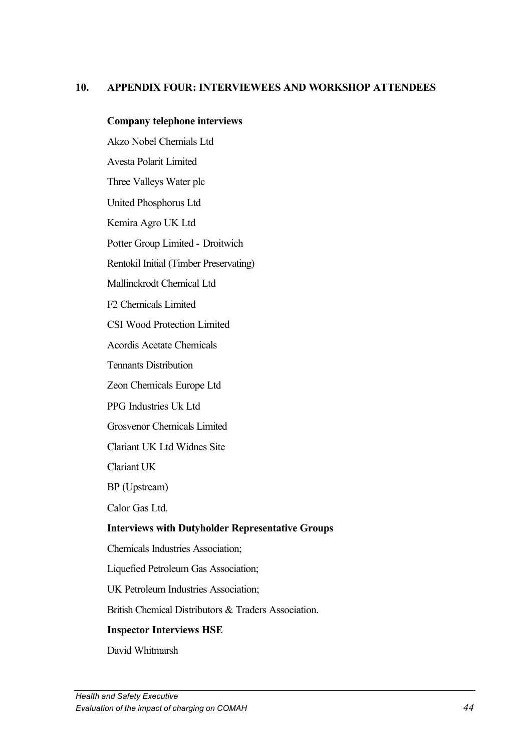## **10. APPENDIX FOUR: INTERVIEWEES AND WORKSHOP ATTENDEES**

#### **Company telephone interviews**

Akzo Nobel Chemials Ltd Avesta Polarit Limited Three Valleys Water plc United Phosphorus Ltd Kemira Agro UK Ltd Potter Group Limited - Droitwich Rentokil Initial (Timber Preservating) Mallinckrodt Chemical Ltd F2 Chemicals Limited CSI Wood Protection Limited Acordis Acetate Chemicals Tennants Distribution Zeon Chemicals Europe Ltd PPG Industries Uk Ltd Grosvenor Chemicals Limited Clariant UK Ltd Widnes Site Clariant UK BP (Upstream) Calor Gas Ltd. **Interviews with Dutyholder Representative Groups** Chemicals Industries Association; Liquefied Petroleum Gas Association; UK Petroleum Industries Association; British Chemical Distributors & Traders Association. **Inspector Interviews HSE** David Whitmarsh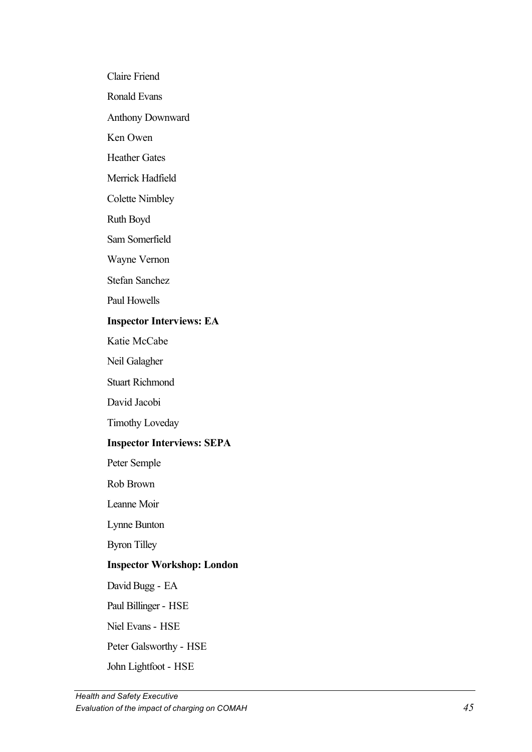Claire Friend

Ronald Evans

Anthony Downward

Ken Owen

Heather Gates

Merrick Hadfield

Colette Nimbley

Ruth Boyd

Sam Somerfield

Wayne Vernon

Stefan Sanchez

Paul Howells

## **Inspector Interviews: EA**

Katie McCabe

Neil Galagher

Stuart Richmond

David Jacobi

Timothy Loveday

## **Inspector Interviews: SEPA**

Peter Semple

Rob Brown

Leanne Moir

Lynne Bunton

Byron Tilley

## **Inspector Workshop: London**

David Bugg - EA

Paul Billinger - HSE

Niel Evans - HSE

Peter Galsworthy - HSE

John Lightfoot - HSE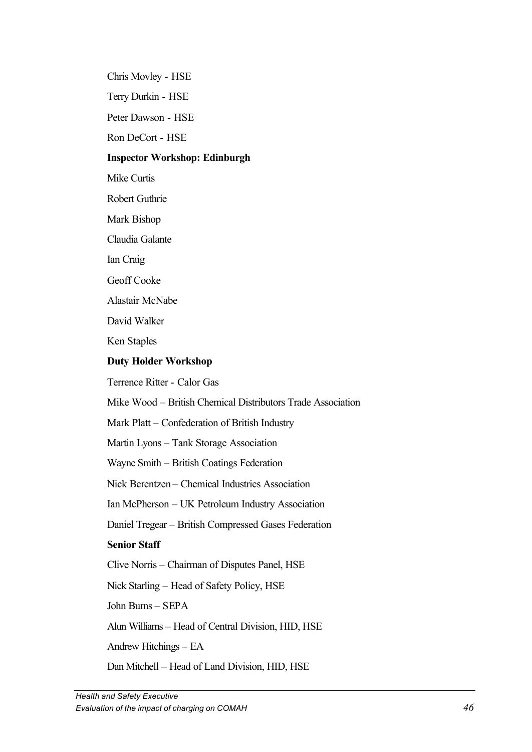Chris Movley - HSE

Terry Durkin - HSE

Peter Dawson - HSE

Ron DeCort - HSE

## **Inspector Workshop: Edinburgh**

Mike Curtis

Robert Guthrie

Mark Bishop

Claudia Galante

Ian Craig

Geoff Cooke

Alastair McNabe

David Walker

Ken Staples

#### **Duty Holder Workshop**

Terrence Ritter - Calor Gas

Mike Wood – British Chemical Distributors Trade Association

Mark Platt – Confederation of British Industry

Martin Lyons – Tank Storage Association

Wayne Smith – British Coatings Federation

Nick Berentzen – Chemical Industries Association

Ian McPherson – UK Petroleum Industry Association

Daniel Tregear – British Compressed Gases Federation

### **Senior Staff**

Clive Norris – Chairman of Disputes Panel, HSE

Nick Starling – Head of Safety Policy, HSE

John Burns – SEPA

Alun Williams – Head of Central Division, HID, HSE

Andrew Hitchings – EA

Dan Mitchell – Head of Land Division, HID, HSE